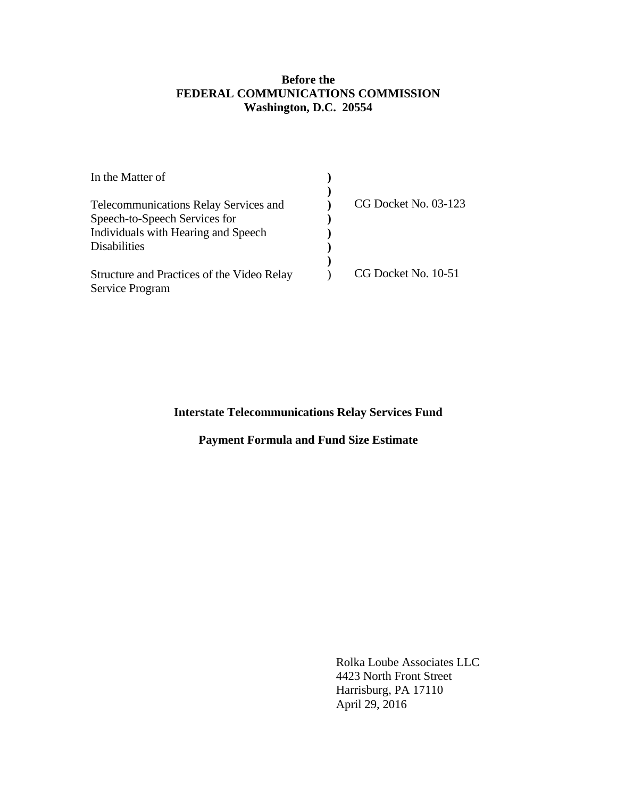## **Before the FEDERAL COMMUNICATIONS COMMISSION Washington, D.C. 20554**

| CG Docket No. 03-123 |
|----------------------|
|                      |
|                      |
|                      |
|                      |
| CG Docket No. 10-51  |
|                      |
|                      |

# **Interstate Telecommunications Relay Services Fund**

# **Payment Formula and Fund Size Estimate**

 Rolka Loube Associates LLC 4423 North Front Street Harrisburg, PA 17110 April 29, 2016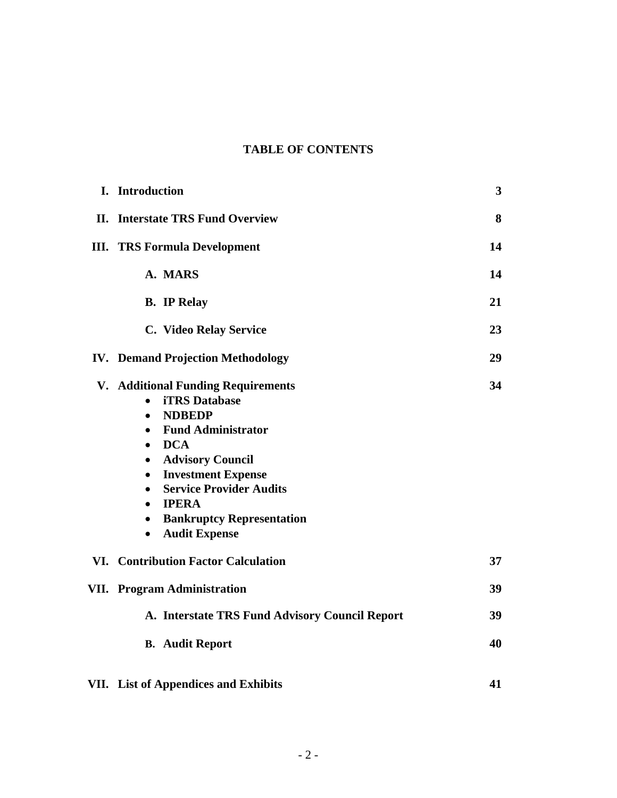# **TABLE OF CONTENTS**

| I. Introduction                                                                                                                                                                                                                                                                                                                                                                                                                       | 3  |
|---------------------------------------------------------------------------------------------------------------------------------------------------------------------------------------------------------------------------------------------------------------------------------------------------------------------------------------------------------------------------------------------------------------------------------------|----|
| <b>II.</b> Interstate TRS Fund Overview                                                                                                                                                                                                                                                                                                                                                                                               | 8  |
| <b>III. TRS Formula Development</b>                                                                                                                                                                                                                                                                                                                                                                                                   | 14 |
| A. MARS                                                                                                                                                                                                                                                                                                                                                                                                                               | 14 |
| <b>B.</b> IP Relay                                                                                                                                                                                                                                                                                                                                                                                                                    | 21 |
| C. Video Relay Service                                                                                                                                                                                                                                                                                                                                                                                                                | 23 |
| <b>IV. Demand Projection Methodology</b>                                                                                                                                                                                                                                                                                                                                                                                              | 29 |
| <b>V. Additional Funding Requirements</b><br><b>iTRS</b> Database<br>$\bullet$<br><b>NDBEDP</b><br>$\bullet$<br><b>Fund Administrator</b><br>$\bullet$<br><b>DCA</b><br>$\bullet$<br><b>Advisory Council</b><br>$\bullet$<br><b>Investment Expense</b><br>$\bullet$<br><b>Service Provider Audits</b><br>$\bullet$<br><b>IPERA</b><br>$\bullet$<br><b>Bankruptcy Representation</b><br>$\bullet$<br><b>Audit Expense</b><br>$\bullet$ | 34 |
| <b>VI. Contribution Factor Calculation</b>                                                                                                                                                                                                                                                                                                                                                                                            | 37 |
| <b>VII.</b> Program Administration                                                                                                                                                                                                                                                                                                                                                                                                    | 39 |
| A. Interstate TRS Fund Advisory Council Report                                                                                                                                                                                                                                                                                                                                                                                        | 39 |
| <b>B.</b> Audit Report                                                                                                                                                                                                                                                                                                                                                                                                                | 40 |
| VII. List of Appendices and Exhibits                                                                                                                                                                                                                                                                                                                                                                                                  | 41 |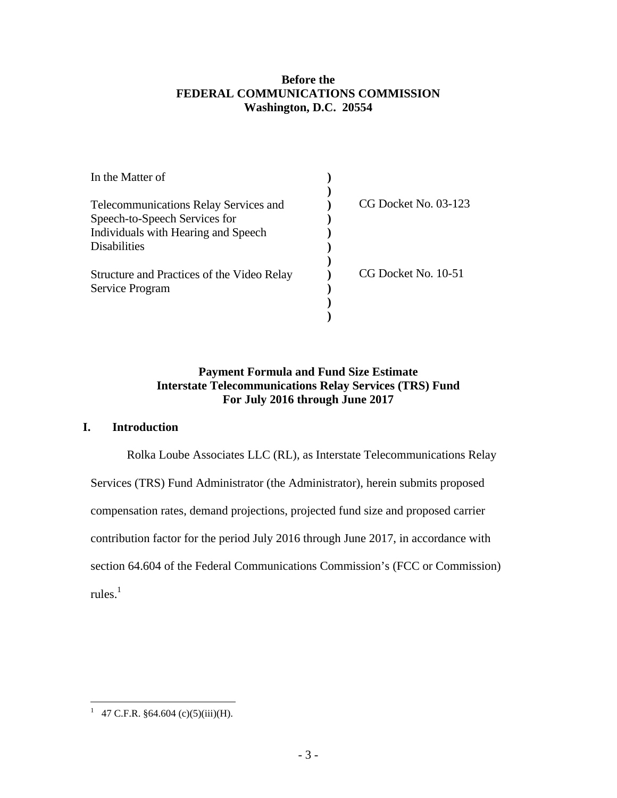## **Before the FEDERAL COMMUNICATIONS COMMISSION Washington, D.C. 20554**

| In the Matter of                             |                        |
|----------------------------------------------|------------------------|
|                                              |                        |
| <b>Telecommunications Relay Services and</b> | $CG$ Docket No. 03-123 |
| Speech-to-Speech Services for                |                        |
| Individuals with Hearing and Speech          |                        |
| Disabilities                                 |                        |
| Structure and Practices of the Video Relay   | CG Docket No. 10-51    |
| Service Program                              |                        |
|                                              |                        |
|                                              |                        |

## **Payment Formula and Fund Size Estimate Interstate Telecommunications Relay Services (TRS) Fund For July 2016 through June 2017**

## **I. Introduction**

Rolka Loube Associates LLC (RL), as Interstate Telecommunications Relay Services (TRS) Fund Administrator (the Administrator), herein submits proposed compensation rates, demand projections, projected fund size and proposed carrier contribution factor for the period July 2016 through June 2017, in accordance with section 64.604 of the Federal Communications Commission's (FCC or Commission) rules. $^1$ 

<sup>&</sup>lt;sup>1</sup> 47 C.F.R. §64.604 (c)(5)(iii)(H).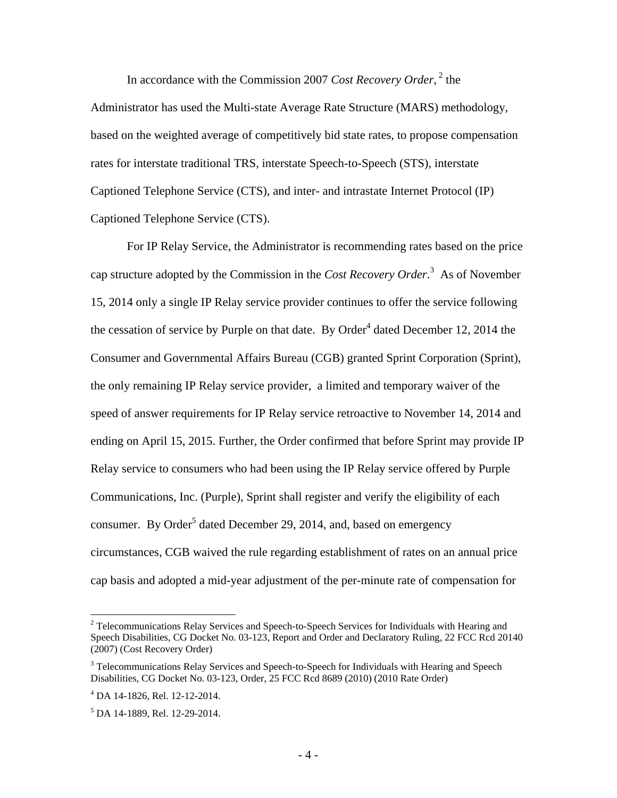In accordance with the Commission 2007 *Cost Recovery Order*,<sup>2</sup> the

Administrator has used the Multi-state Average Rate Structure (MARS) methodology, based on the weighted average of competitively bid state rates, to propose compensation rates for interstate traditional TRS, interstate Speech-to-Speech (STS), interstate Captioned Telephone Service (CTS), and inter- and intrastate Internet Protocol (IP) Captioned Telephone Service (CTS).

For IP Relay Service, the Administrator is recommending rates based on the price cap structure adopted by the Commission in the *Cost Recovery Order*. 3 As of November 15, 2014 only a single IP Relay service provider continues to offer the service following the cessation of service by Purple on that date. By Order<sup>4</sup> dated December 12, 2014 the Consumer and Governmental Affairs Bureau (CGB) granted Sprint Corporation (Sprint), the only remaining IP Relay service provider, a limited and temporary waiver of the speed of answer requirements for IP Relay service retroactive to November 14, 2014 and ending on April 15, 2015. Further, the Order confirmed that before Sprint may provide IP Relay service to consumers who had been using the IP Relay service offered by Purple Communications, Inc. (Purple), Sprint shall register and verify the eligibility of each consumer. By Order<sup>5</sup> dated December 29, 2014, and, based on emergency circumstances, CGB waived the rule regarding establishment of rates on an annual price cap basis and adopted a mid-year adjustment of the per-minute rate of compensation for

<u>.</u>

 $2$  Telecommunications Relay Services and Speech-to-Speech Services for Individuals with Hearing and Speech Disabilities, CG Docket No. 03-123, Report and Order and Declaratory Ruling, 22 FCC Rcd 20140 (2007) (Cost Recovery Order)

<sup>&</sup>lt;sup>3</sup> Telecommunications Relay Services and Speech-to-Speech for Individuals with Hearing and Speech Disabilities, CG Docket No. 03-123, Order, 25 FCC Rcd 8689 (2010) (2010 Rate Order)

<sup>4</sup> DA 14-1826, Rel. 12-12-2014.

<sup>5</sup> DA 14-1889, Rel. 12-29-2014.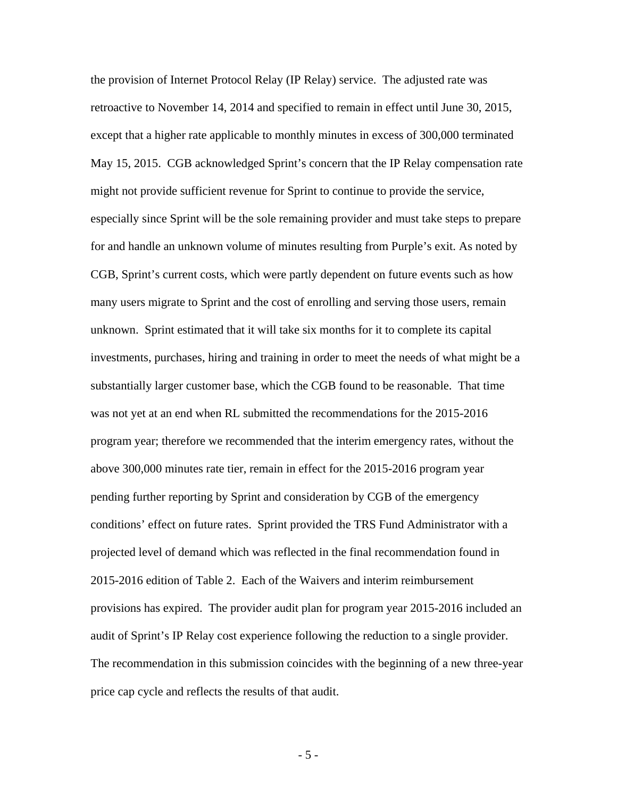the provision of Internet Protocol Relay (IP Relay) service. The adjusted rate was retroactive to November 14, 2014 and specified to remain in effect until June 30, 2015, except that a higher rate applicable to monthly minutes in excess of 300,000 terminated May 15, 2015. CGB acknowledged Sprint's concern that the IP Relay compensation rate might not provide sufficient revenue for Sprint to continue to provide the service, especially since Sprint will be the sole remaining provider and must take steps to prepare for and handle an unknown volume of minutes resulting from Purple's exit. As noted by CGB, Sprint's current costs, which were partly dependent on future events such as how many users migrate to Sprint and the cost of enrolling and serving those users, remain unknown. Sprint estimated that it will take six months for it to complete its capital investments, purchases, hiring and training in order to meet the needs of what might be a substantially larger customer base, which the CGB found to be reasonable. That time was not yet at an end when RL submitted the recommendations for the 2015-2016 program year; therefore we recommended that the interim emergency rates, without the above 300,000 minutes rate tier, remain in effect for the 2015-2016 program year pending further reporting by Sprint and consideration by CGB of the emergency conditions' effect on future rates. Sprint provided the TRS Fund Administrator with a projected level of demand which was reflected in the final recommendation found in 2015-2016 edition of Table 2. Each of the Waivers and interim reimbursement provisions has expired. The provider audit plan for program year 2015-2016 included an audit of Sprint's IP Relay cost experience following the reduction to a single provider. The recommendation in this submission coincides with the beginning of a new three-year price cap cycle and reflects the results of that audit.

- 5 -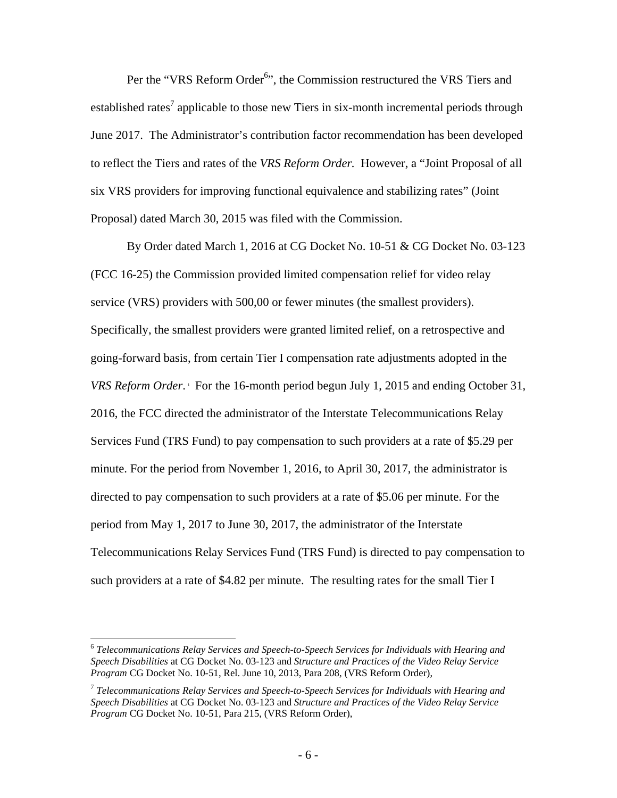Per the "VRS Reform Order<sup>6</sup>", the Commission restructured the VRS Tiers and established rates<sup>7</sup> applicable to those new Tiers in six-month incremental periods through June 2017. The Administrator's contribution factor recommendation has been developed to reflect the Tiers and rates of the *VRS Reform Order.* However, a "Joint Proposal of all six VRS providers for improving functional equivalence and stabilizing rates" (Joint Proposal) dated March 30, 2015 was filed with the Commission.

By Order dated March 1, 2016 at CG Docket No. 10-51 & CG Docket No. 03-123 (FCC 16-25) the Commission provided limited compensation relief for video relay service (VRS) providers with 500,00 or fewer minutes (the smallest providers). Specifically, the smallest providers were granted limited relief, on a retrospective and going-forward basis, from certain Tier I compensation rate adjustments adopted in the *VRS Reform Order*.<sup>1</sup> For the 16-month period begun July 1, 2015 and ending October 31, 2016, the FCC directed the administrator of the Interstate Telecommunications Relay Services Fund (TRS Fund) to pay compensation to such providers at a rate of \$5.29 per minute. For the period from November 1, 2016, to April 30, 2017, the administrator is directed to pay compensation to such providers at a rate of \$5.06 per minute. For the period from May 1, 2017 to June 30, 2017, the administrator of the Interstate Telecommunications Relay Services Fund (TRS Fund) is directed to pay compensation to such providers at a rate of \$4.82 per minute. The resulting rates for the small Tier I

<sup>6</sup> *Telecommunications Relay Services and Speech-to-Speech Services for Individuals with Hearing and Speech Disabilities* at CG Docket No. 03-123 and *Structure and Practices of the Video Relay Service Program* CG Docket No. 10-51, Rel. June 10, 2013, Para 208, (VRS Reform Order),

<sup>7</sup> *Telecommunications Relay Services and Speech-to-Speech Services for Individuals with Hearing and Speech Disabilities* at CG Docket No. 03-123 and *Structure and Practices of the Video Relay Service Program* CG Docket No. 10-51, Para 215, (VRS Reform Order),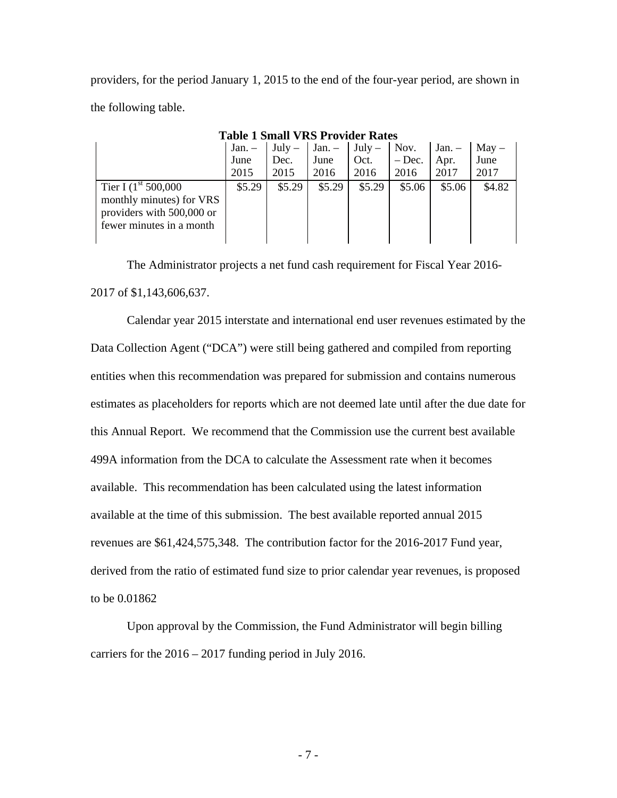providers, for the period January 1, 2015 to the end of the four-year period, are shown in the following table.

|                                                                                                                       | Jan. – | $July -$ | $Jan - July - Nov.$ |        |          | $Jan. -$ May - |        |
|-----------------------------------------------------------------------------------------------------------------------|--------|----------|---------------------|--------|----------|----------------|--------|
|                                                                                                                       | June   | Dec.     | June                | Oct.   | $-$ Dec. | Apr.           | June   |
|                                                                                                                       | 2015   | 2015     | 2016                | 2016   | 2016     | 2017           | 2017   |
| Tier I $(1^{\text{st}} 500,000)$<br>monthly minutes) for VRS<br>providers with 500,000 or<br>fewer minutes in a month | \$5.29 | \$5.29   | \$5.29              | \$5.29 | \$5.06   | \$5.06         | \$4.82 |

**Table 1 Small VRS Provider Rates** 

The Administrator projects a net fund cash requirement for Fiscal Year 2016- 2017 of \$1,143,606,637.

Calendar year 2015 interstate and international end user revenues estimated by the Data Collection Agent ("DCA") were still being gathered and compiled from reporting entities when this recommendation was prepared for submission and contains numerous estimates as placeholders for reports which are not deemed late until after the due date for this Annual Report. We recommend that the Commission use the current best available 499A information from the DCA to calculate the Assessment rate when it becomes available. This recommendation has been calculated using the latest information available at the time of this submission. The best available reported annual 2015 revenues are \$61,424,575,348. The contribution factor for the 2016-2017 Fund year, derived from the ratio of estimated fund size to prior calendar year revenues, is proposed to be 0.01862

Upon approval by the Commission, the Fund Administrator will begin billing carriers for the 2016 – 2017 funding period in July 2016.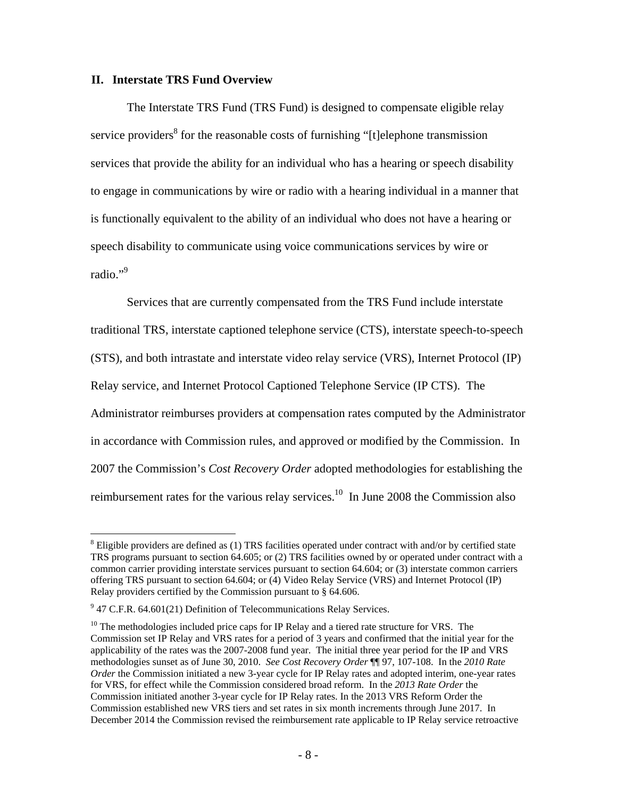#### **II. Interstate TRS Fund Overview**

The Interstate TRS Fund (TRS Fund) is designed to compensate eligible relay service providers<sup>8</sup> for the reasonable costs of furnishing "[t]elephone transmission services that provide the ability for an individual who has a hearing or speech disability to engage in communications by wire or radio with a hearing individual in a manner that is functionally equivalent to the ability of an individual who does not have a hearing or speech disability to communicate using voice communications services by wire or radio."<sup>9</sup>

Services that are currently compensated from the TRS Fund include interstate traditional TRS, interstate captioned telephone service (CTS), interstate speech-to-speech (STS), and both intrastate and interstate video relay service (VRS), Internet Protocol (IP) Relay service, and Internet Protocol Captioned Telephone Service (IP CTS). The Administrator reimburses providers at compensation rates computed by the Administrator in accordance with Commission rules, and approved or modified by the Commission. In 2007 the Commission's *Cost Recovery Order* adopted methodologies for establishing the reimbursement rates for the various relay services.<sup>10</sup> In June 2008 the Commission also

 $8$  Eligible providers are defined as (1) TRS facilities operated under contract with and/or by certified state TRS programs pursuant to section 64.605; or (2) TRS facilities owned by or operated under contract with a common carrier providing interstate services pursuant to section 64.604; or (3) interstate common carriers offering TRS pursuant to section 64.604; or (4) Video Relay Service (VRS) and Internet Protocol (IP) Relay providers certified by the Commission pursuant to § 64.606.

 $9$  47 C.F.R. 64.601(21) Definition of Telecommunications Relay Services.

 $10$  The methodologies included price caps for IP Relay and a tiered rate structure for VRS. The Commission set IP Relay and VRS rates for a period of 3 years and confirmed that the initial year for the applicability of the rates was the 2007-2008 fund year. The initial three year period for the IP and VRS methodologies sunset as of June 30, 2010. *See Cost Recovery Order* ¶¶ 97, 107-108. In the *2010 Rate Order* the Commission initiated a new 3-year cycle for IP Relay rates and adopted interim, one-year rates for VRS, for effect while the Commission considered broad reform. In the *2013 Rate Order* the Commission initiated another 3-year cycle for IP Relay rates. In the 2013 VRS Reform Order the Commission established new VRS tiers and set rates in six month increments through June 2017. In December 2014 the Commission revised the reimbursement rate applicable to IP Relay service retroactive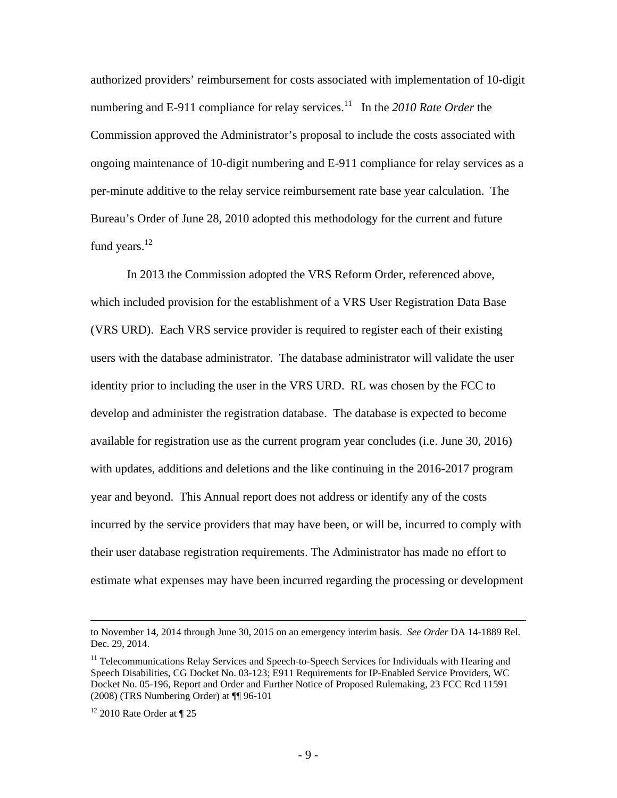authorized providers' reimbursement for costs associated with implementation of 10-digit numbering and E-911 compliance for relay services.<sup>11</sup> In the 2010 Rate Order the Commission approved the Administrator's proposal to include the costs associated with ongoing maintenance of 10-digit numbering and E-911 compliance for relay services as a per-minute additive to the relay service reimbursement rate base year calculation. The Bureau's Order of June 28, 2010 adopted this methodology for the current and future fund years.<sup>12</sup>

In 2013 the Commission adopted the VRS Reform Order, referenced above, which included provision for the establishment of a VRS User Registration Data Base (VRS URD). Each VRS service provider is required to register each of their existing users with the database administrator. The database administrator will validate the user identity prior to including the user in the VRS URD. RL was chosen by the FCC to develop and administer the registration database. The database is expected to become available for registration use as the current program year concludes (i.e. June 30, 2016) with updates, additions and deletions and the like continuing in the 2016-2017 program year and beyond. This Annual report does not address or identify any of the costs incurred by the service providers that may have been, or will be, incurred to comply with their user database registration requirements. The Administrator has made no effort to estimate what expenses may have been incurred regarding the processing or development

to November 14, 2014 through June 30, 2015 on an emergency interim basis. *See Order* DA 14-1889 Rel. Dec. 29, 2014.

<sup>&</sup>lt;sup>11</sup> Telecommunications Relay Services and Speech-to-Speech Services for Individuals with Hearing and Speech Disabilities, CG Docket No. 03-123; E911 Requirements for IP-Enabled Service Providers, WC Docket No. 05-196, Report and Order and Further Notice of Proposed Rulemaking, 23 FCC Rcd 11591 (2008) (TRS Numbering Order) at ¶¶ 96-101

 $12$  2010 Rate Order at  $\P$  25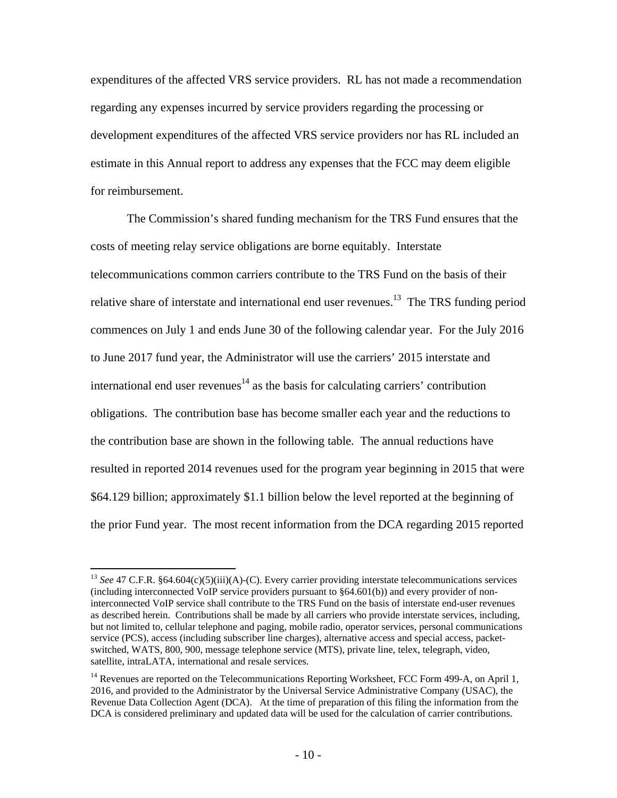expenditures of the affected VRS service providers. RL has not made a recommendation regarding any expenses incurred by service providers regarding the processing or development expenditures of the affected VRS service providers nor has RL included an estimate in this Annual report to address any expenses that the FCC may deem eligible for reimbursement.

The Commission's shared funding mechanism for the TRS Fund ensures that the costs of meeting relay service obligations are borne equitably. Interstate telecommunications common carriers contribute to the TRS Fund on the basis of their relative share of interstate and international end user revenues.<sup>13</sup> The TRS funding period commences on July 1 and ends June 30 of the following calendar year. For the July 2016 to June 2017 fund year, the Administrator will use the carriers' 2015 interstate and international end user revenues $14$  as the basis for calculating carriers' contribution obligations. The contribution base has become smaller each year and the reductions to the contribution base are shown in the following table. The annual reductions have resulted in reported 2014 revenues used for the program year beginning in 2015 that were \$64.129 billion; approximately \$1.1 billion below the level reported at the beginning of the prior Fund year. The most recent information from the DCA regarding 2015 reported

<sup>&</sup>lt;sup>13</sup> See 47 C.F.R. §64.604(c)(5)(iii)(A)-(C). Every carrier providing interstate telecommunications services (including interconnected VoIP service providers pursuant to §64.601(b)) and every provider of noninterconnected VoIP service shall contribute to the TRS Fund on the basis of interstate end-user revenues as described herein. Contributions shall be made by all carriers who provide interstate services, including, but not limited to, cellular telephone and paging, mobile radio, operator services, personal communications service (PCS), access (including subscriber line charges), alternative access and special access, packetswitched, WATS, 800, 900, message telephone service (MTS), private line, telex, telegraph, video, satellite, intraLATA, international and resale services.

<sup>&</sup>lt;sup>14</sup> Revenues are reported on the Telecommunications Reporting Worksheet, FCC Form 499-A, on April 1, 2016, and provided to the Administrator by the Universal Service Administrative Company (USAC), the Revenue Data Collection Agent (DCA). At the time of preparation of this filing the information from the DCA is considered preliminary and updated data will be used for the calculation of carrier contributions.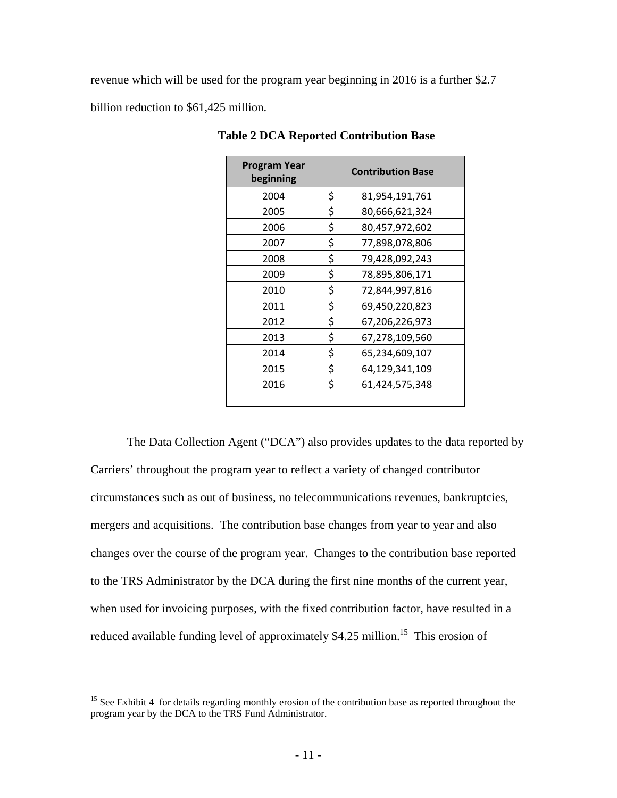revenue which will be used for the program year beginning in 2016 is a further \$2.7 billion reduction to \$61,425 million.

| <b>Program Year</b><br>beginning | <b>Contribution Base</b> |
|----------------------------------|--------------------------|
| 2004                             | \$<br>81,954,191,761     |
| 2005                             | \$<br>80,666,621,324     |
| 2006                             | \$<br>80,457,972,602     |
| 2007                             | \$<br>77,898,078,806     |
| 2008                             | \$<br>79,428,092,243     |
| 2009                             | \$<br>78,895,806,171     |
| 2010                             | \$<br>72,844,997,816     |
| 2011                             | \$<br>69,450,220,823     |
| 2012                             | \$<br>67,206,226,973     |
| 2013                             | \$<br>67,278,109,560     |
| 2014                             | \$<br>65,234,609,107     |
| 2015                             | \$<br>64,129,341,109     |
| 2016                             | \$<br>61,424,575,348     |

**Table 2 DCA Reported Contribution Base** 

The Data Collection Agent ("DCA") also provides updates to the data reported by Carriers' throughout the program year to reflect a variety of changed contributor circumstances such as out of business, no telecommunications revenues, bankruptcies, mergers and acquisitions. The contribution base changes from year to year and also changes over the course of the program year. Changes to the contribution base reported to the TRS Administrator by the DCA during the first nine months of the current year, when used for invoicing purposes, with the fixed contribution factor, have resulted in a reduced available funding level of approximately \$4.25 million.<sup>15</sup> This erosion of

<sup>&</sup>lt;sup>15</sup> See Exhibit 4 for details regarding monthly erosion of the contribution base as reported throughout the program year by the DCA to the TRS Fund Administrator.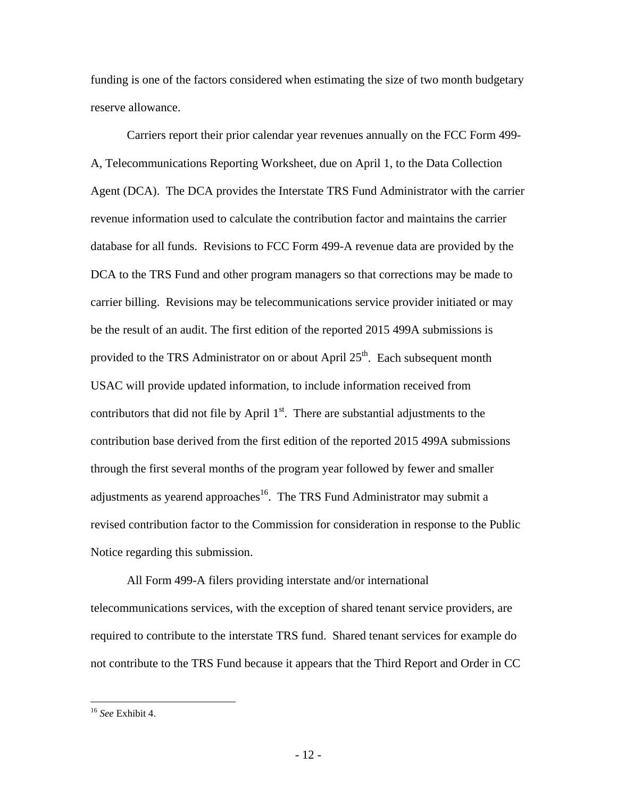funding is one of the factors considered when estimating the size of two month budgetary reserve allowance.

Carriers report their prior calendar year revenues annually on the FCC Form 499- A, Telecommunications Reporting Worksheet, due on April 1, to the Data Collection Agent (DCA). The DCA provides the Interstate TRS Fund Administrator with the carrier revenue information used to calculate the contribution factor and maintains the carrier database for all funds. Revisions to FCC Form 499-A revenue data are provided by the DCA to the TRS Fund and other program managers so that corrections may be made to carrier billing. Revisions may be telecommunications service provider initiated or may be the result of an audit. The first edition of the reported 2015 499A submissions is provided to the TRS Administrator on or about April  $25<sup>th</sup>$ . Each subsequent month USAC will provide updated information, to include information received from contributors that did not file by April  $1<sup>st</sup>$ . There are substantial adjustments to the contribution base derived from the first edition of the reported 2015 499A submissions through the first several months of the program year followed by fewer and smaller adjustments as yearend approaches<sup>16</sup>. The TRS Fund Administrator may submit a revised contribution factor to the Commission for consideration in response to the Public Notice regarding this submission.

All Form 499-A filers providing interstate and/or international telecommunications services, with the exception of shared tenant service providers, are required to contribute to the interstate TRS fund. Shared tenant services for example do not contribute to the TRS Fund because it appears that the Third Report and Order in CC

<sup>16</sup> *See* Exhibit 4.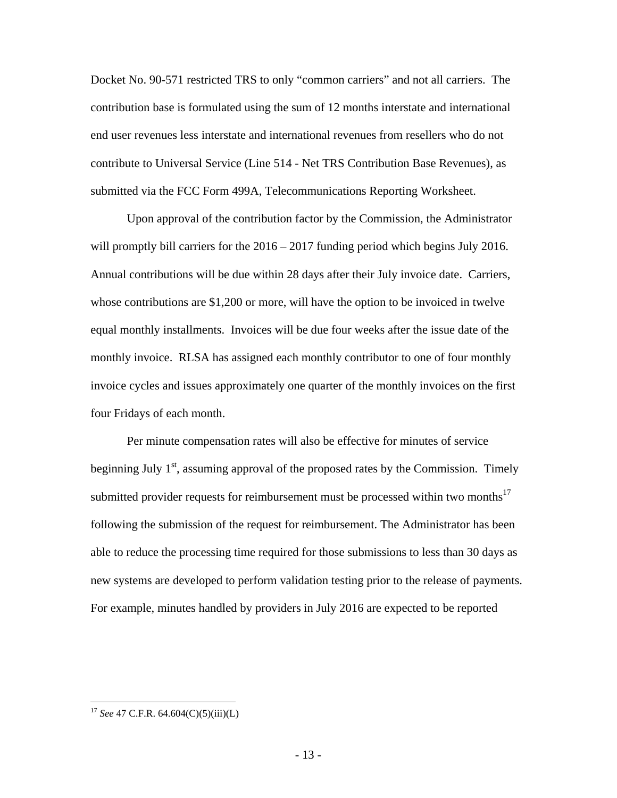Docket No. 90-571 restricted TRS to only "common carriers" and not all carriers. The contribution base is formulated using the sum of 12 months interstate and international end user revenues less interstate and international revenues from resellers who do not contribute to Universal Service (Line 514 - Net TRS Contribution Base Revenues), as submitted via the FCC Form 499A, Telecommunications Reporting Worksheet.

Upon approval of the contribution factor by the Commission, the Administrator will promptly bill carriers for the  $2016 - 2017$  funding period which begins July 2016. Annual contributions will be due within 28 days after their July invoice date. Carriers, whose contributions are \$1,200 or more, will have the option to be invoiced in twelve equal monthly installments. Invoices will be due four weeks after the issue date of the monthly invoice. RLSA has assigned each monthly contributor to one of four monthly invoice cycles and issues approximately one quarter of the monthly invoices on the first four Fridays of each month.

Per minute compensation rates will also be effective for minutes of service beginning July  $1<sup>st</sup>$ , assuming approval of the proposed rates by the Commission. Timely submitted provider requests for reimbursement must be processed within two months $17$ following the submission of the request for reimbursement. The Administrator has been able to reduce the processing time required for those submissions to less than 30 days as new systems are developed to perform validation testing prior to the release of payments. For example, minutes handled by providers in July 2016 are expected to be reported

<u>.</u>

<sup>17</sup> *See* 47 C.F.R. 64.604(C)(5)(iii)(L)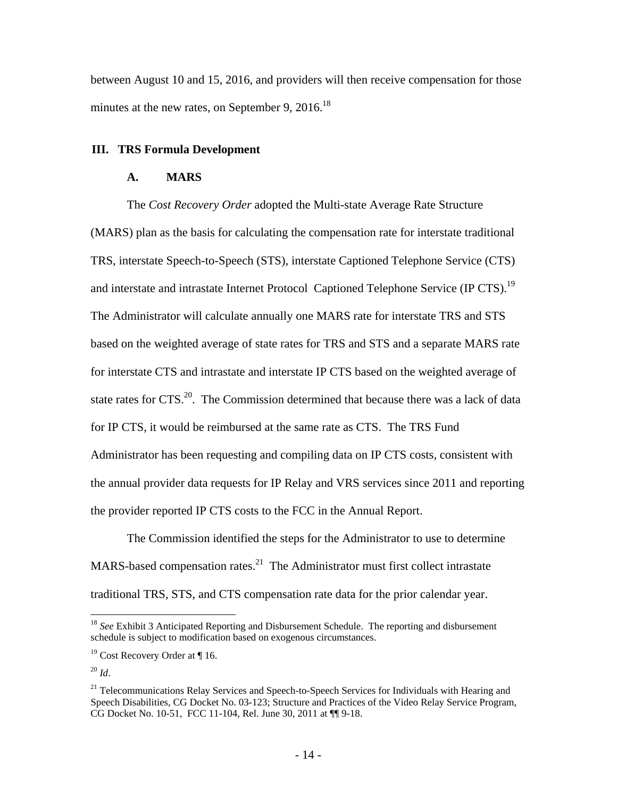between August 10 and 15, 2016, and providers will then receive compensation for those minutes at the new rates, on September 9, 2016.<sup>18</sup>

## **III. TRS Formula Development**

### **A. MARS**

The *Cost Recovery Order* adopted the Multi-state Average Rate Structure (MARS) plan as the basis for calculating the compensation rate for interstate traditional TRS, interstate Speech-to-Speech (STS), interstate Captioned Telephone Service (CTS) and interstate and intrastate Internet Protocol Captioned Telephone Service (IP CTS).<sup>19</sup> The Administrator will calculate annually one MARS rate for interstate TRS and STS based on the weighted average of state rates for TRS and STS and a separate MARS rate for interstate CTS and intrastate and interstate IP CTS based on the weighted average of state rates for CTS.<sup>20</sup>. The Commission determined that because there was a lack of data for IP CTS, it would be reimbursed at the same rate as CTS. The TRS Fund Administrator has been requesting and compiling data on IP CTS costs, consistent with the annual provider data requests for IP Relay and VRS services since 2011 and reporting the provider reported IP CTS costs to the FCC in the Annual Report.

The Commission identified the steps for the Administrator to use to determine MARS-based compensation rates. $^{21}$  The Administrator must first collect intrastate traditional TRS, STS, and CTS compensation rate data for the prior calendar year.

<sup>18</sup> *See* Exhibit 3 Anticipated Reporting and Disbursement Schedule. The reporting and disbursement schedule is subject to modification based on exogenous circumstances.

<sup>&</sup>lt;sup>19</sup> Cost Recovery Order at ¶ 16.

<sup>20</sup> *Id*.

 $21$  Telecommunications Relay Services and Speech-to-Speech Services for Individuals with Hearing and Speech Disabilities, CG Docket No. 03-123; Structure and Practices of the Video Relay Service Program, CG Docket No. 10-51, FCC 11-104, Rel. June 30, 2011 at ¶¶ 9-18.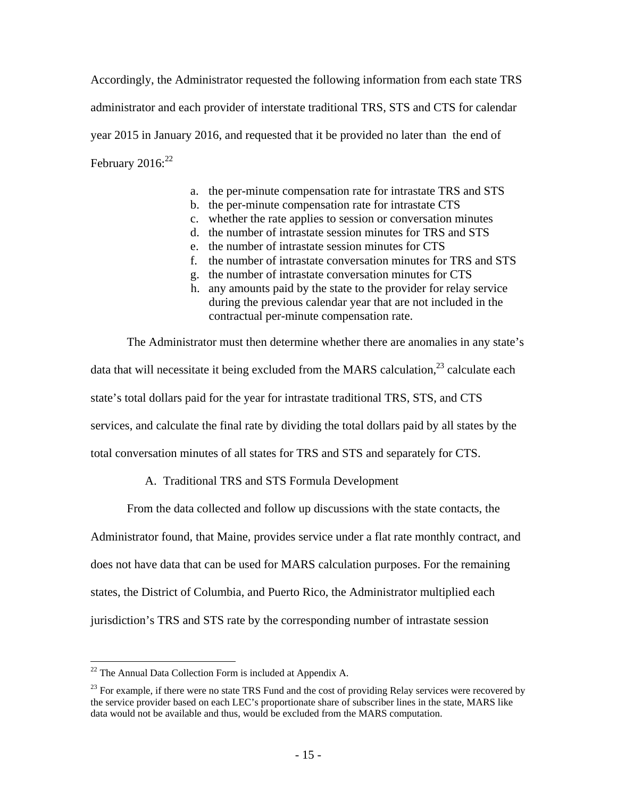Accordingly, the Administrator requested the following information from each state TRS administrator and each provider of interstate traditional TRS, STS and CTS for calendar year 2015 in January 2016, and requested that it be provided no later than the end of February  $2016$ <sup>22</sup>

- a. the per-minute compensation rate for intrastate TRS and STS
- b. the per-minute compensation rate for intrastate CTS
- c. whether the rate applies to session or conversation minutes
- d. the number of intrastate session minutes for TRS and STS
- e. the number of intrastate session minutes for CTS
- f. the number of intrastate conversation minutes for TRS and STS
- g. the number of intrastate conversation minutes for CTS
- h. any amounts paid by the state to the provider for relay service during the previous calendar year that are not included in the contractual per-minute compensation rate.

The Administrator must then determine whether there are anomalies in any state's data that will necessitate it being excluded from the MARS calculation,<sup>23</sup> calculate each state's total dollars paid for the year for intrastate traditional TRS, STS, and CTS services, and calculate the final rate by dividing the total dollars paid by all states by the total conversation minutes of all states for TRS and STS and separately for CTS.

## A. Traditional TRS and STS Formula Development

From the data collected and follow up discussions with the state contacts, the

Administrator found, that Maine, provides service under a flat rate monthly contract, and

does not have data that can be used for MARS calculation purposes. For the remaining

states, the District of Columbia, and Puerto Rico, the Administrator multiplied each

jurisdiction's TRS and STS rate by the corresponding number of intrastate session

 $\overline{a}$  $^{22}$  The Annual Data Collection Form is included at Appendix A.

 $^{23}$  For example, if there were no state TRS Fund and the cost of providing Relay services were recovered by the service provider based on each LEC's proportionate share of subscriber lines in the state, MARS like data would not be available and thus, would be excluded from the MARS computation.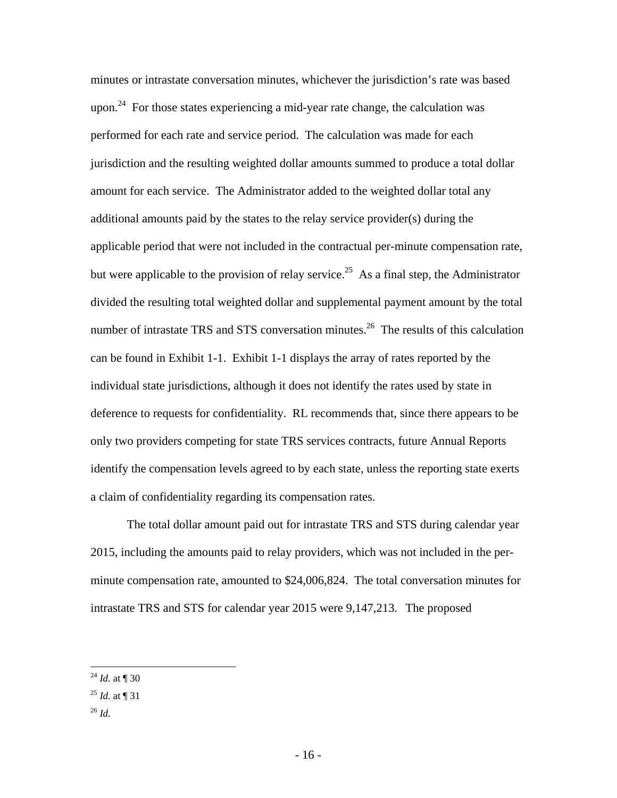minutes or intrastate conversation minutes, whichever the jurisdiction's rate was based upon.<sup>24</sup> For those states experiencing a mid-year rate change, the calculation was performed for each rate and service period. The calculation was made for each jurisdiction and the resulting weighted dollar amounts summed to produce a total dollar amount for each service. The Administrator added to the weighted dollar total any additional amounts paid by the states to the relay service provider(s) during the applicable period that were not included in the contractual per-minute compensation rate, but were applicable to the provision of relay service.<sup>25</sup> As a final step, the Administrator divided the resulting total weighted dollar and supplemental payment amount by the total number of intrastate TRS and STS conversation minutes.<sup>26</sup> The results of this calculation can be found in Exhibit 1-1. Exhibit 1-1 displays the array of rates reported by the individual state jurisdictions, although it does not identify the rates used by state in deference to requests for confidentiality. RL recommends that, since there appears to be only two providers competing for state TRS services contracts, future Annual Reports identify the compensation levels agreed to by each state, unless the reporting state exerts a claim of confidentiality regarding its compensation rates.

The total dollar amount paid out for intrastate TRS and STS during calendar year 2015, including the amounts paid to relay providers, which was not included in the perminute compensation rate, amounted to \$24,006,824. The total conversation minutes for intrastate TRS and STS for calendar year 2015 were 9,147,213. The proposed

<sup>26</sup> *Id.*

 $\overline{a}$ <sup>24</sup> *Id.* at ¶ 30

 $^{25}$  *Id.* at ¶ 31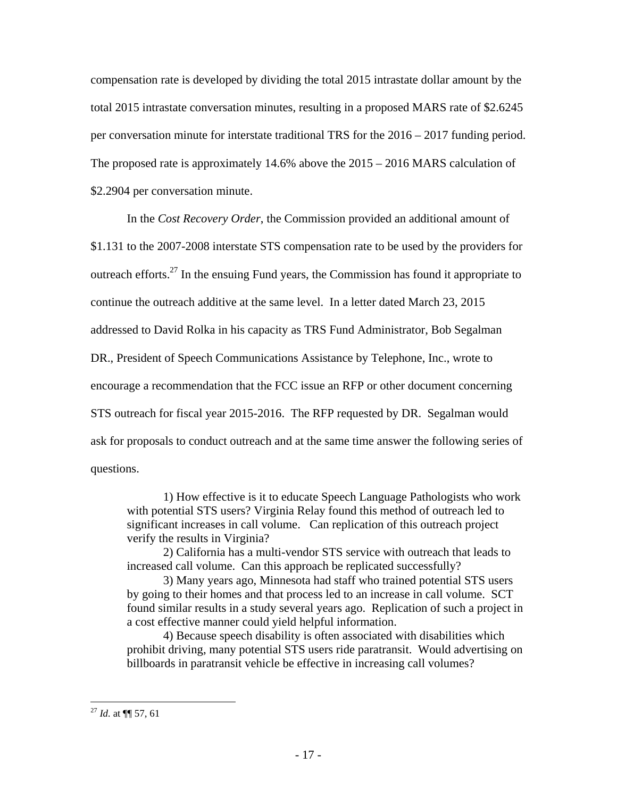compensation rate is developed by dividing the total 2015 intrastate dollar amount by the total 2015 intrastate conversation minutes, resulting in a proposed MARS rate of \$2.6245 per conversation minute for interstate traditional TRS for the 2016 – 2017 funding period. The proposed rate is approximately 14.6% above the 2015 – 2016 MARS calculation of \$2.2904 per conversation minute.

In the *Cost Recovery Order*, the Commission provided an additional amount of \$1.131 to the 2007-2008 interstate STS compensation rate to be used by the providers for outreach efforts.<sup>27</sup> In the ensuing Fund years, the Commission has found it appropriate to continue the outreach additive at the same level. In a letter dated March 23, 2015 addressed to David Rolka in his capacity as TRS Fund Administrator, Bob Segalman DR., President of Speech Communications Assistance by Telephone, Inc., wrote to encourage a recommendation that the FCC issue an RFP or other document concerning STS outreach for fiscal year 2015-2016. The RFP requested by DR. Segalman would ask for proposals to conduct outreach and at the same time answer the following series of questions.

1) How effective is it to educate Speech Language Pathologists who work with potential STS users? Virginia Relay found this method of outreach led to significant increases in call volume. Can replication of this outreach project verify the results in Virginia?

2) California has a multi-vendor STS service with outreach that leads to increased call volume. Can this approach be replicated successfully?

3) Many years ago, Minnesota had staff who trained potential STS users by going to their homes and that process led to an increase in call volume. SCT found similar results in a study several years ago. Replication of such a project in a cost effective manner could yield helpful information.

4) Because speech disability is often associated with disabilities which prohibit driving, many potential STS users ride paratransit. Would advertising on billboards in paratransit vehicle be effective in increasing call volumes?

<sup>27</sup> *Id.* at ¶¶ 57, 61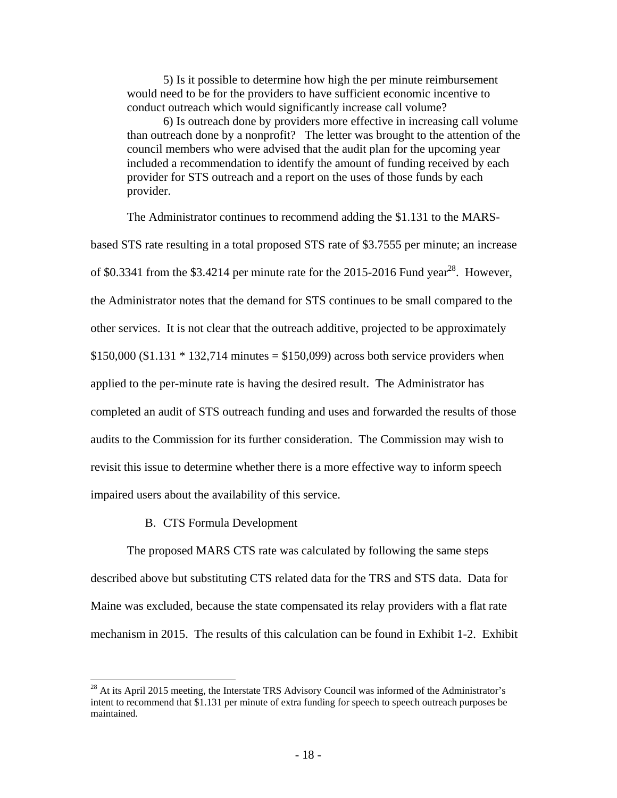5) Is it possible to determine how high the per minute reimbursement would need to be for the providers to have sufficient economic incentive to conduct outreach which would significantly increase call volume?

6) Is outreach done by providers more effective in increasing call volume than outreach done by a nonprofit? The letter was brought to the attention of the council members who were advised that the audit plan for the upcoming year included a recommendation to identify the amount of funding received by each provider for STS outreach and a report on the uses of those funds by each provider.

The Administrator continues to recommend adding the \$1.131 to the MARS-

based STS rate resulting in a total proposed STS rate of \$3.7555 per minute; an increase of \$0.3341 from the \$3.4214 per minute rate for the 2015-2016 Fund year<sup>28</sup>. However, the Administrator notes that the demand for STS continues to be small compared to the other services. It is not clear that the outreach additive, projected to be approximately \$150,000 (\$1.131  $*$  132,714 minutes = \$150,099) across both service providers when applied to the per-minute rate is having the desired result. The Administrator has completed an audit of STS outreach funding and uses and forwarded the results of those audits to the Commission for its further consideration. The Commission may wish to revisit this issue to determine whether there is a more effective way to inform speech impaired users about the availability of this service.

### B. CTS Formula Development

 $\overline{a}$ 

The proposed MARS CTS rate was calculated by following the same steps described above but substituting CTS related data for the TRS and STS data. Data for Maine was excluded, because the state compensated its relay providers with a flat rate mechanism in 2015. The results of this calculation can be found in Exhibit 1-2. Exhibit

 $^{28}$  At its April 2015 meeting, the Interstate TRS Advisory Council was informed of the Administrator's intent to recommend that \$1.131 per minute of extra funding for speech to speech outreach purposes be maintained.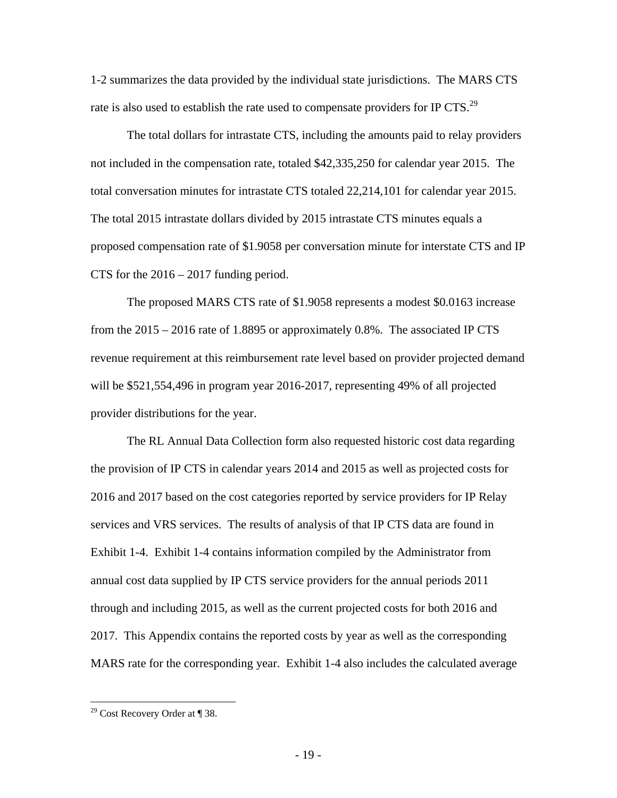1-2 summarizes the data provided by the individual state jurisdictions. The MARS CTS rate is also used to establish the rate used to compensate providers for IP CTS.<sup>29</sup>

The total dollars for intrastate CTS, including the amounts paid to relay providers not included in the compensation rate, totaled \$42,335,250 for calendar year 2015. The total conversation minutes for intrastate CTS totaled 22,214,101 for calendar year 2015. The total 2015 intrastate dollars divided by 2015 intrastate CTS minutes equals a proposed compensation rate of \$1.9058 per conversation minute for interstate CTS and IP CTS for the 2016 – 2017 funding period.

The proposed MARS CTS rate of \$1.9058 represents a modest \$0.0163 increase from the 2015 – 2016 rate of 1.8895 or approximately 0.8%. The associated IP CTS revenue requirement at this reimbursement rate level based on provider projected demand will be \$521,554,496 in program year 2016-2017, representing 49% of all projected provider distributions for the year.

The RL Annual Data Collection form also requested historic cost data regarding the provision of IP CTS in calendar years 2014 and 2015 as well as projected costs for 2016 and 2017 based on the cost categories reported by service providers for IP Relay services and VRS services. The results of analysis of that IP CTS data are found in Exhibit 1-4. Exhibit 1-4 contains information compiled by the Administrator from annual cost data supplied by IP CTS service providers for the annual periods 2011 through and including 2015, as well as the current projected costs for both 2016 and 2017. This Appendix contains the reported costs by year as well as the corresponding MARS rate for the corresponding year. Exhibit 1-4 also includes the calculated average

<sup>&</sup>lt;sup>29</sup> Cost Recovery Order at  $\P$  38.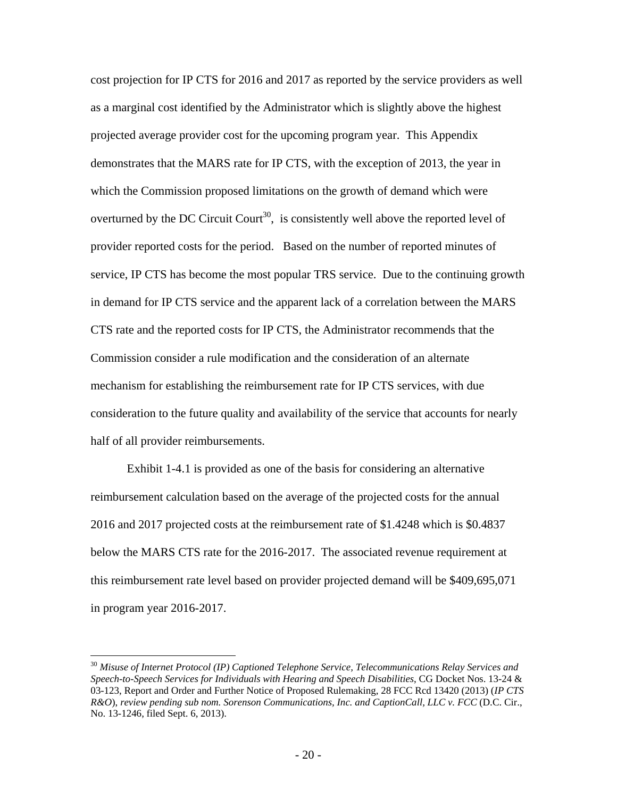cost projection for IP CTS for 2016 and 2017 as reported by the service providers as well as a marginal cost identified by the Administrator which is slightly above the highest projected average provider cost for the upcoming program year. This Appendix demonstrates that the MARS rate for IP CTS, with the exception of 2013, the year in which the Commission proposed limitations on the growth of demand which were overturned by the DC Circuit Court<sup>30</sup>, is consistently well above the reported level of provider reported costs for the period. Based on the number of reported minutes of service, IP CTS has become the most popular TRS service. Due to the continuing growth in demand for IP CTS service and the apparent lack of a correlation between the MARS CTS rate and the reported costs for IP CTS, the Administrator recommends that the Commission consider a rule modification and the consideration of an alternate mechanism for establishing the reimbursement rate for IP CTS services, with due consideration to the future quality and availability of the service that accounts for nearly half of all provider reimbursements.

Exhibit 1-4.1 is provided as one of the basis for considering an alternative reimbursement calculation based on the average of the projected costs for the annual 2016 and 2017 projected costs at the reimbursement rate of \$1.4248 which is \$0.4837 below the MARS CTS rate for the 2016-2017. The associated revenue requirement at this reimbursement rate level based on provider projected demand will be \$409,695,071 in program year 2016-2017.

<sup>30</sup> *Misuse of Internet Protocol (IP) Captioned Telephone Service, Telecommunications Relay Services and Speech-to-Speech Services for Individuals with Hearing and Speech Disabilities*, CG Docket Nos. 13-24 & 03-123, Report and Order and Further Notice of Proposed Rulemaking, 28 FCC Rcd 13420 (2013) (*IP CTS R&O*), *review pending sub nom. Sorenson Communications, Inc. and CaptionCall, LLC v. FCC* (D.C. Cir., No. 13-1246, filed Sept. 6, 2013).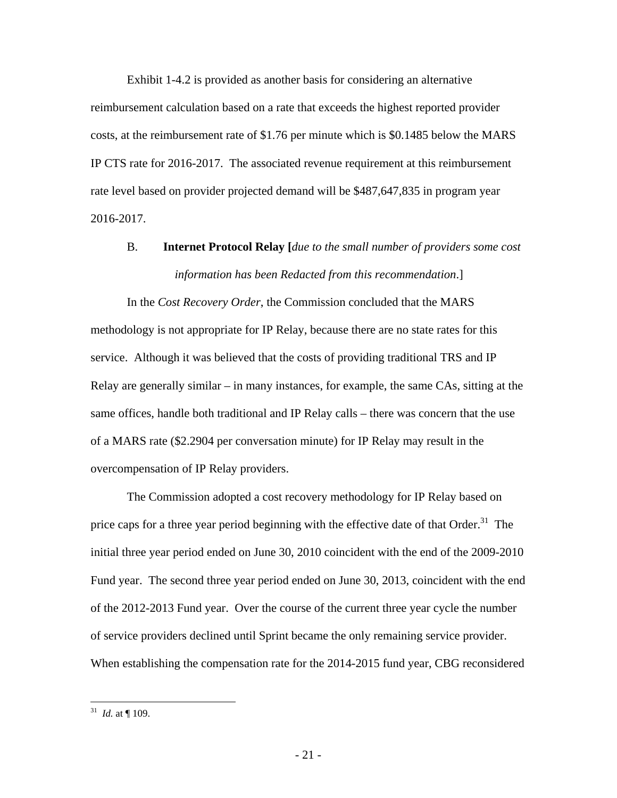Exhibit 1-4.2 is provided as another basis for considering an alternative reimbursement calculation based on a rate that exceeds the highest reported provider costs, at the reimbursement rate of \$1.76 per minute which is \$0.1485 below the MARS IP CTS rate for 2016-2017. The associated revenue requirement at this reimbursement rate level based on provider projected demand will be \$487,647,835 in program year 2016-2017.

# B. **Internet Protocol Relay [***due to the small number of providers some cost information has been Redacted from this recommendation*.]

In the *Cost Recovery Order*, the Commission concluded that the MARS methodology is not appropriate for IP Relay, because there are no state rates for this service. Although it was believed that the costs of providing traditional TRS and IP Relay are generally similar – in many instances, for example, the same CAs, sitting at the same offices, handle both traditional and IP Relay calls – there was concern that the use of a MARS rate (\$2.2904 per conversation minute) for IP Relay may result in the overcompensation of IP Relay providers.

The Commission adopted a cost recovery methodology for IP Relay based on price caps for a three year period beginning with the effective date of that  $Order.^{31}$  The initial three year period ended on June 30, 2010 coincident with the end of the 2009-2010 Fund year. The second three year period ended on June 30, 2013, coincident with the end of the 2012-2013 Fund year. Over the course of the current three year cycle the number of service providers declined until Sprint became the only remaining service provider. When establishing the compensation rate for the 2014-2015 fund year, CBG reconsidered

 $^{31}$  *Id.* at  $\P$  109.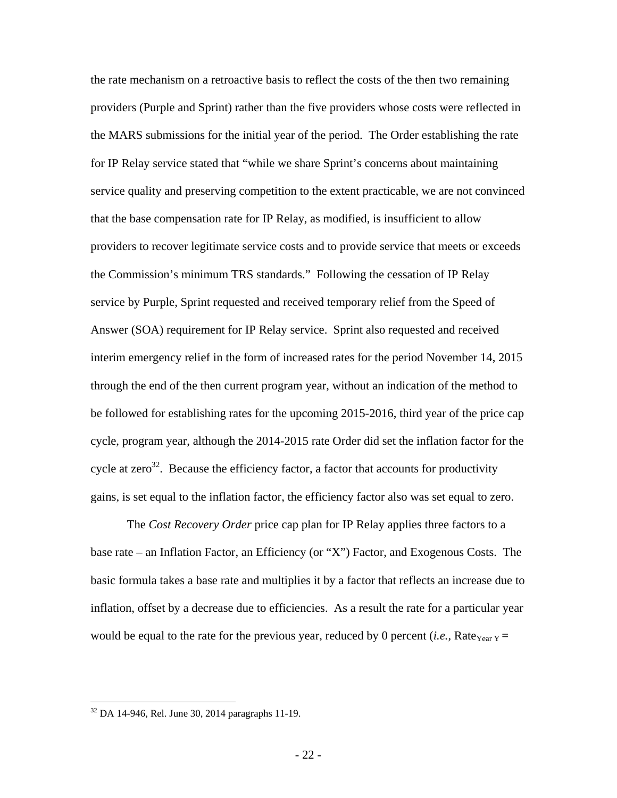the rate mechanism on a retroactive basis to reflect the costs of the then two remaining providers (Purple and Sprint) rather than the five providers whose costs were reflected in the MARS submissions for the initial year of the period. The Order establishing the rate for IP Relay service stated that "while we share Sprint's concerns about maintaining service quality and preserving competition to the extent practicable, we are not convinced that the base compensation rate for IP Relay, as modified, is insufficient to allow providers to recover legitimate service costs and to provide service that meets or exceeds the Commission's minimum TRS standards." Following the cessation of IP Relay service by Purple, Sprint requested and received temporary relief from the Speed of Answer (SOA) requirement for IP Relay service. Sprint also requested and received interim emergency relief in the form of increased rates for the period November 14, 2015 through the end of the then current program year, without an indication of the method to be followed for establishing rates for the upcoming 2015-2016, third year of the price cap cycle, program year, although the 2014-2015 rate Order did set the inflation factor for the cycle at zero<sup>32</sup>. Because the efficiency factor, a factor that accounts for productivity gains, is set equal to the inflation factor, the efficiency factor also was set equal to zero.

The *Cost Recovery Order* price cap plan for IP Relay applies three factors to a base rate – an Inflation Factor, an Efficiency (or "X") Factor, and Exogenous Costs. The basic formula takes a base rate and multiplies it by a factor that reflects an increase due to inflation, offset by a decrease due to efficiencies. As a result the rate for a particular year would be equal to the rate for the previous year, reduced by 0 percent (*i.e.*, Rate<sub>Year Y</sub> =

<u>.</u>

<sup>32</sup> DA 14-946, Rel. June 30, 2014 paragraphs 11-19.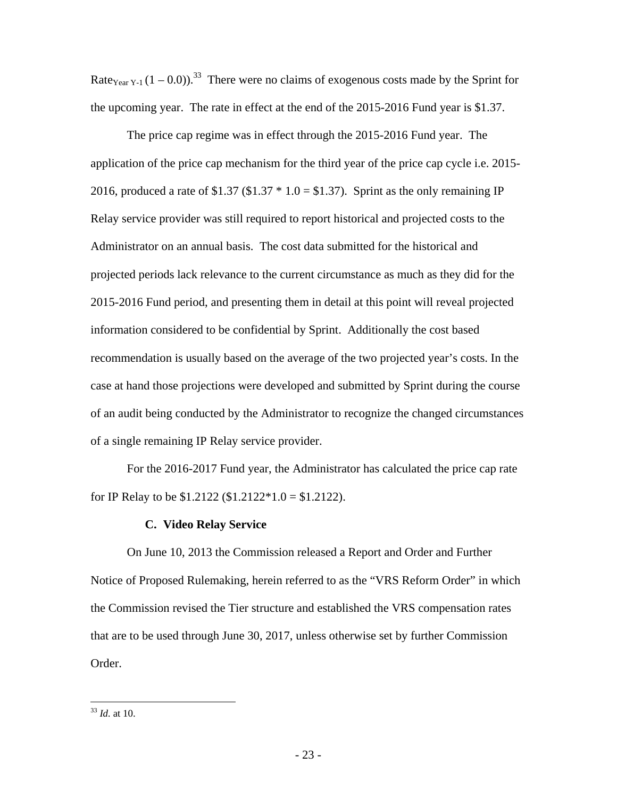Rate<sub>Year Y-1</sub>  $(1 - 0.0)$ .<sup>33</sup> There were no claims of exogenous costs made by the Sprint for the upcoming year. The rate in effect at the end of the 2015-2016 Fund year is \$1.37.

The price cap regime was in effect through the 2015-2016 Fund year. The application of the price cap mechanism for the third year of the price cap cycle i.e. 2015- 2016, produced a rate of \$1.37 (\$1.37  $*$  1.0 = \$1.37). Sprint as the only remaining IP Relay service provider was still required to report historical and projected costs to the Administrator on an annual basis. The cost data submitted for the historical and projected periods lack relevance to the current circumstance as much as they did for the 2015-2016 Fund period, and presenting them in detail at this point will reveal projected information considered to be confidential by Sprint. Additionally the cost based recommendation is usually based on the average of the two projected year's costs. In the case at hand those projections were developed and submitted by Sprint during the course of an audit being conducted by the Administrator to recognize the changed circumstances of a single remaining IP Relay service provider.

For the 2016-2017 Fund year, the Administrator has calculated the price cap rate for IP Relay to be \$1.2122 (\$1.2122\*1.0 = \$1.2122).

#### **C. Video Relay Service**

On June 10, 2013 the Commission released a Report and Order and Further Notice of Proposed Rulemaking, herein referred to as the "VRS Reform Order" in which the Commission revised the Tier structure and established the VRS compensation rates that are to be used through June 30, 2017, unless otherwise set by further Commission Order.

<u>.</u>

<sup>33</sup> *Id.* at 10.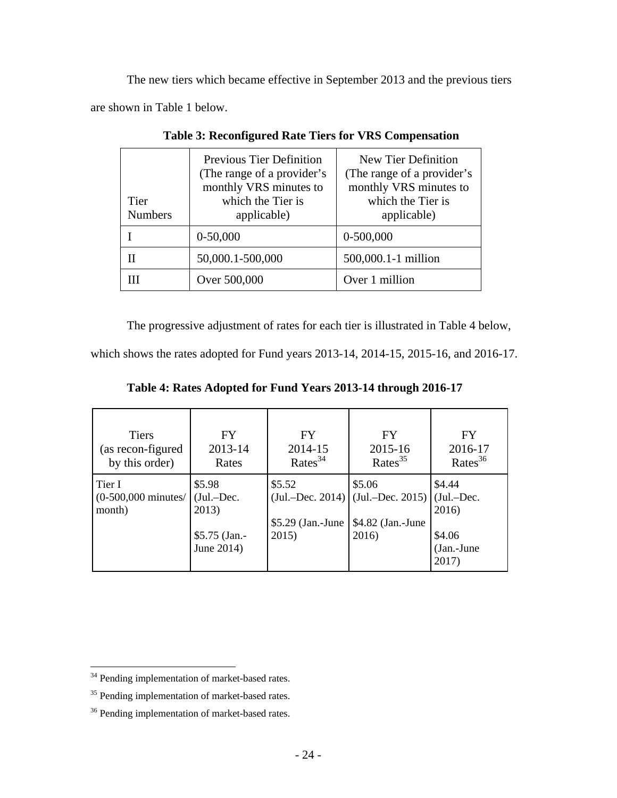The new tiers which became effective in September 2013 and the previous tiers are shown in Table 1 below.

| Tier<br><b>Numbers</b> | Previous Tier Definition<br>(The range of a provider's<br>monthly VRS minutes to<br>which the Tier is<br>applicable) | New Tier Definition<br>(The range of a provider's<br>monthly VRS minutes to<br>which the Tier is<br>applicable) |
|------------------------|----------------------------------------------------------------------------------------------------------------------|-----------------------------------------------------------------------------------------------------------------|
|                        | $0-50,000$                                                                                                           | $0-500,000$                                                                                                     |
|                        | 50,000.1-500,000                                                                                                     | 500,000.1-1 million                                                                                             |
|                        | Over 500,000                                                                                                         | Over 1 million                                                                                                  |

**Table 3: Reconfigured Rate Tiers for VRS Compensation** 

The progressive adjustment of rates for each tier is illustrated in Table 4 below,

which shows the rates adopted for Fund years 2013-14, 2014-15, 2015-16, and 2016-17.

|  |  | Table 4: Rates Adopted for Fund Years 2013-14 through 2016-17 |  |
|--|--|---------------------------------------------------------------|--|
|  |  |                                                               |  |

| <b>Tiers</b>                              | FY                                                              | <b>FY</b>                             | <b>FY</b>                                                                                    | <b>FY</b>                                        |
|-------------------------------------------|-----------------------------------------------------------------|---------------------------------------|----------------------------------------------------------------------------------------------|--------------------------------------------------|
| (as recon-figured                         | 2013-14                                                         | 2014-15                               | 2015-16                                                                                      | 2016-17                                          |
| by this order)                            | Rates                                                           | Rates $34$                            | Rates $35$                                                                                   | Rates $36$                                       |
| Tier I<br>$(0-500,000$ minutes/<br>month) | \$5.98<br>$(Jul.-Dec.$<br>2013)<br>$$5.75$ (Jan.-<br>June 2014) | \$5.52<br>$$5.29$ (Jan.-June<br>2015) | \$5.06<br>(Jul.-Dec. 2014) $ $ (Jul.-Dec. 2015) $ $ (Jul.-Dec.<br>\$4.82 (Jan.-June<br>2016) | \$4.44<br>2016)<br>\$4.06<br>(Jan.-June<br>2017) |

<sup>&</sup>lt;sup>34</sup> Pending implementation of market-based rates.

<sup>&</sup>lt;sup>35</sup> Pending implementation of market-based rates.

<sup>&</sup>lt;sup>36</sup> Pending implementation of market-based rates.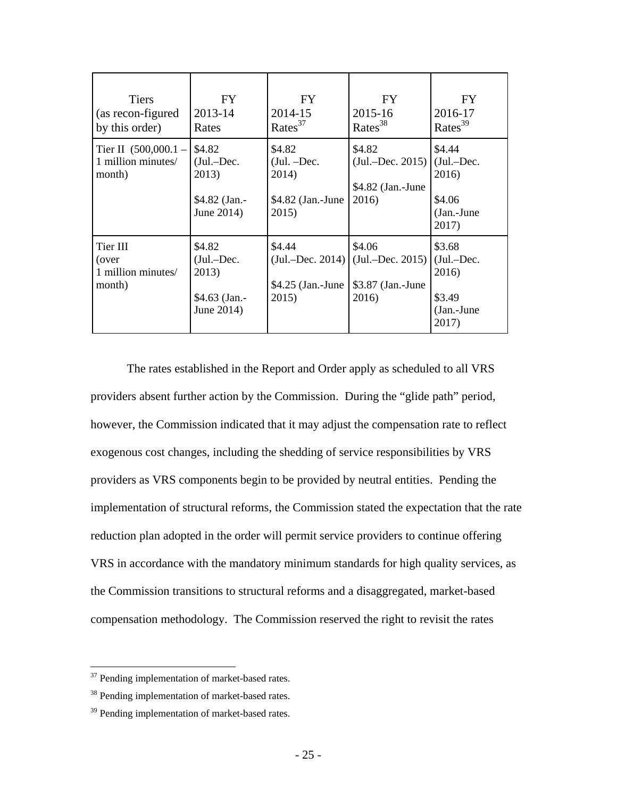| <b>Tiers</b><br>(as recon-figured<br>by this order)    | <b>FY</b><br>2013-14<br>Rates                                  | FY.<br>2014-15<br>$\text{ Rates}^{37}$                           | FY.<br>2015-16<br>$\text{ Rates}^{38}$                                            | <b>FY</b><br>2016-17<br>Rates <sup>39</sup>                        |
|--------------------------------------------------------|----------------------------------------------------------------|------------------------------------------------------------------|-----------------------------------------------------------------------------------|--------------------------------------------------------------------|
| Tier II $(500,000.1 -$<br>1 million minutes/<br>month) | \$4.82<br>$(Jul.-Dec.$<br>2013)<br>\$4.82 (Jan.-<br>June 2014) | \$4.82<br>$(Jul. - Dec.$<br>2014)<br>$$4.82$ (Jan.-June<br>2015) | \$4.82<br>$(Jul.-Dec. 2015)$<br>\$4.82 (Jan.-June<br>2016)                        | \$4.44<br>(Jul.-Dec.<br>2016)<br>\$4.06<br>$(Jan.-June$<br>2017)   |
| Tier III<br>(over<br>1 million minutes/<br>month)      | \$4.82<br>$(Jul.-Dec.$<br>2013)<br>\$4.63 (Jan.-<br>June 2014) | \$4.44<br>$$4.25$ (Jan.-June<br>2015)                            | \$4.06<br>$(Jul. - Dec. 2014)$ $(Jul. - Dec. 2015)$<br>\$3.87 (Jan.-June<br>2016) | \$3.68<br>$(Jul.-Dec.$<br>2016)<br>\$3.49<br>$(Jan.-June$<br>2017) |

The rates established in the Report and Order apply as scheduled to all VRS providers absent further action by the Commission. During the "glide path" period, however, the Commission indicated that it may adjust the compensation rate to reflect exogenous cost changes, including the shedding of service responsibilities by VRS providers as VRS components begin to be provided by neutral entities. Pending the implementation of structural reforms, the Commission stated the expectation that the rate reduction plan adopted in the order will permit service providers to continue offering VRS in accordance with the mandatory minimum standards for high quality services, as the Commission transitions to structural reforms and a disaggregated, market-based compensation methodology. The Commission reserved the right to revisit the rates

 $37$  Pending implementation of market-based rates.

<sup>&</sup>lt;sup>38</sup> Pending implementation of market-based rates.

<sup>&</sup>lt;sup>39</sup> Pending implementation of market-based rates.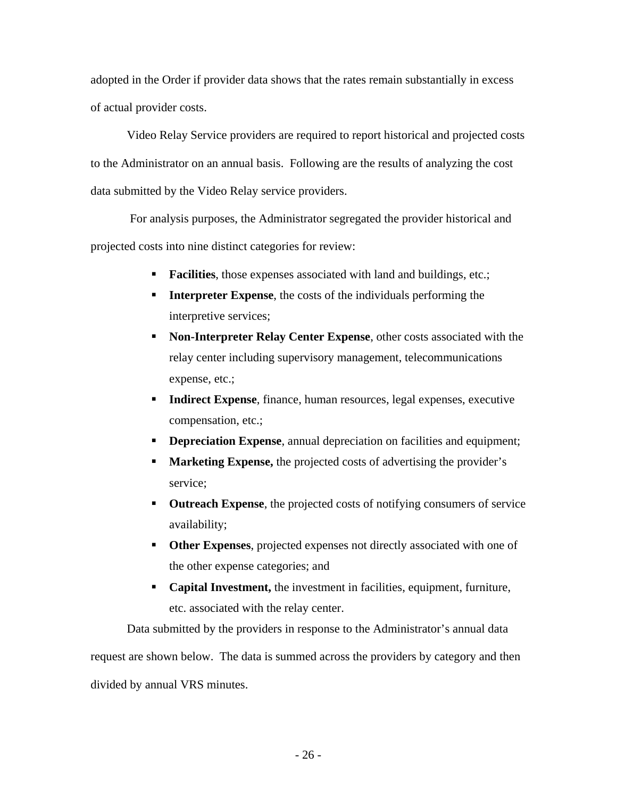adopted in the Order if provider data shows that the rates remain substantially in excess of actual provider costs.

Video Relay Service providers are required to report historical and projected costs to the Administrator on an annual basis. Following are the results of analyzing the cost data submitted by the Video Relay service providers.

 For analysis purposes, the Administrator segregated the provider historical and projected costs into nine distinct categories for review:

- **Facilities**, those expenses associated with land and buildings, etc.;
- **Interpreter Expense**, the costs of the individuals performing the interpretive services;
- **Non-Interpreter Relay Center Expense, other costs associated with the** relay center including supervisory management, telecommunications expense, etc.;
- **Indirect Expense**, finance, human resources, legal expenses, executive compensation, etc.;
- **Depreciation Expense**, annual depreciation on facilities and equipment;
- **Marketing Expense,** the projected costs of advertising the provider's service;
- **Outreach Expense**, the projected costs of notifying consumers of service availability;
- **Other Expenses**, projected expenses not directly associated with one of the other expense categories; and
- **Capital Investment,** the investment in facilities, equipment, furniture, etc. associated with the relay center.

Data submitted by the providers in response to the Administrator's annual data request are shown below. The data is summed across the providers by category and then divided by annual VRS minutes.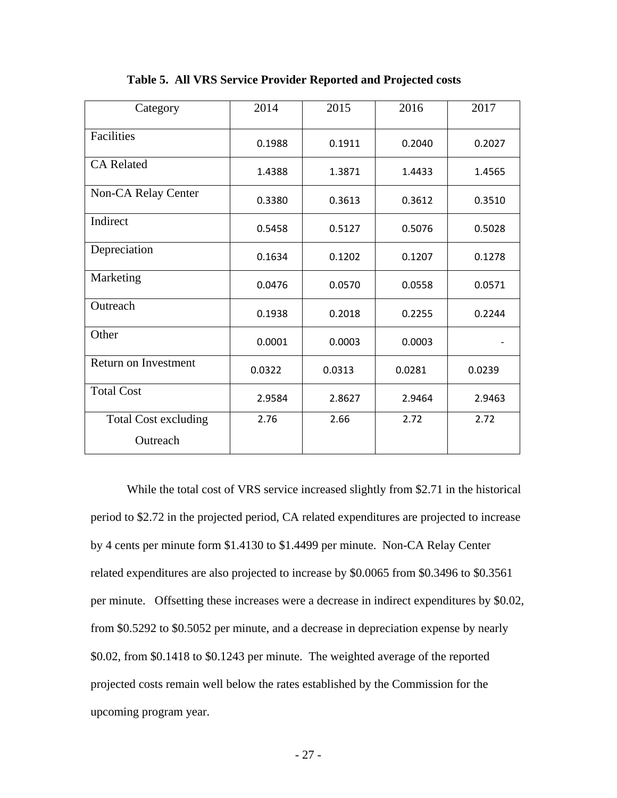| Category                                | 2014   | 2015   | 2016   | 2017   |
|-----------------------------------------|--------|--------|--------|--------|
| Facilities                              | 0.1988 | 0.1911 | 0.2040 | 0.2027 |
| <b>CA Related</b>                       | 1.4388 | 1.3871 | 1.4433 | 1.4565 |
| Non-CA Relay Center                     | 0.3380 | 0.3613 | 0.3612 | 0.3510 |
| Indirect                                | 0.5458 | 0.5127 | 0.5076 | 0.5028 |
| Depreciation                            | 0.1634 | 0.1202 | 0.1207 | 0.1278 |
| Marketing                               | 0.0476 | 0.0570 | 0.0558 | 0.0571 |
| Outreach                                | 0.1938 | 0.2018 | 0.2255 | 0.2244 |
| Other                                   | 0.0001 | 0.0003 | 0.0003 |        |
| Return on Investment                    | 0.0322 | 0.0313 | 0.0281 | 0.0239 |
| <b>Total Cost</b>                       | 2.9584 | 2.8627 | 2.9464 | 2.9463 |
| <b>Total Cost excluding</b><br>Outreach | 2.76   | 2.66   | 2.72   | 2.72   |

**Table 5. All VRS Service Provider Reported and Projected costs** 

While the total cost of VRS service increased slightly from \$2.71 in the historical period to \$2.72 in the projected period, CA related expenditures are projected to increase by 4 cents per minute form \$1.4130 to \$1.4499 per minute. Non-CA Relay Center related expenditures are also projected to increase by \$0.0065 from \$0.3496 to \$0.3561 per minute. Offsetting these increases were a decrease in indirect expenditures by \$0.02, from \$0.5292 to \$0.5052 per minute, and a decrease in depreciation expense by nearly \$0.02, from \$0.1418 to \$0.1243 per minute. The weighted average of the reported projected costs remain well below the rates established by the Commission for the upcoming program year.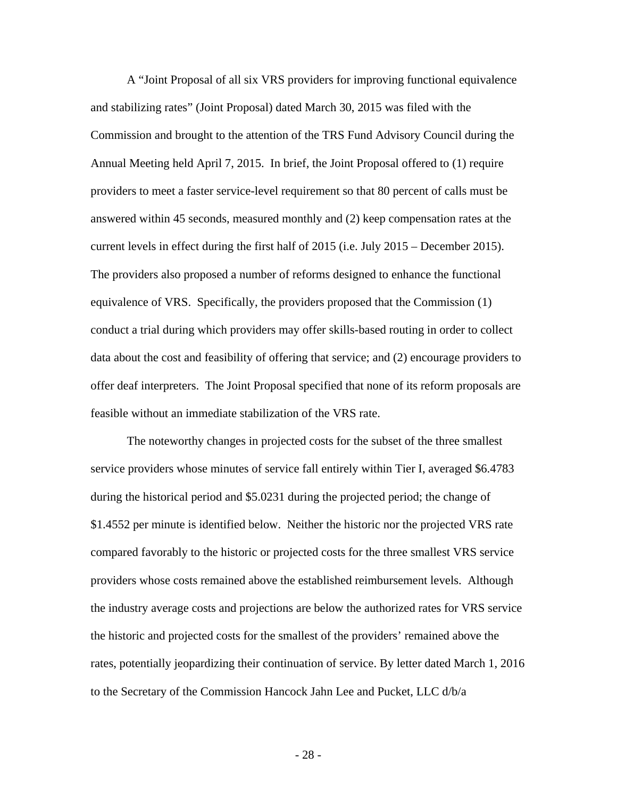A "Joint Proposal of all six VRS providers for improving functional equivalence and stabilizing rates" (Joint Proposal) dated March 30, 2015 was filed with the Commission and brought to the attention of the TRS Fund Advisory Council during the Annual Meeting held April 7, 2015. In brief, the Joint Proposal offered to (1) require providers to meet a faster service-level requirement so that 80 percent of calls must be answered within 45 seconds, measured monthly and (2) keep compensation rates at the current levels in effect during the first half of 2015 (i.e. July 2015 – December 2015). The providers also proposed a number of reforms designed to enhance the functional equivalence of VRS. Specifically, the providers proposed that the Commission (1) conduct a trial during which providers may offer skills-based routing in order to collect data about the cost and feasibility of offering that service; and (2) encourage providers to offer deaf interpreters. The Joint Proposal specified that none of its reform proposals are feasible without an immediate stabilization of the VRS rate.

The noteworthy changes in projected costs for the subset of the three smallest service providers whose minutes of service fall entirely within Tier I, averaged \$6.4783 during the historical period and \$5.0231 during the projected period; the change of \$1.4552 per minute is identified below. Neither the historic nor the projected VRS rate compared favorably to the historic or projected costs for the three smallest VRS service providers whose costs remained above the established reimbursement levels. Although the industry average costs and projections are below the authorized rates for VRS service the historic and projected costs for the smallest of the providers' remained above the rates, potentially jeopardizing their continuation of service. By letter dated March 1, 2016 to the Secretary of the Commission Hancock Jahn Lee and Pucket, LLC d/b/a

- 28 -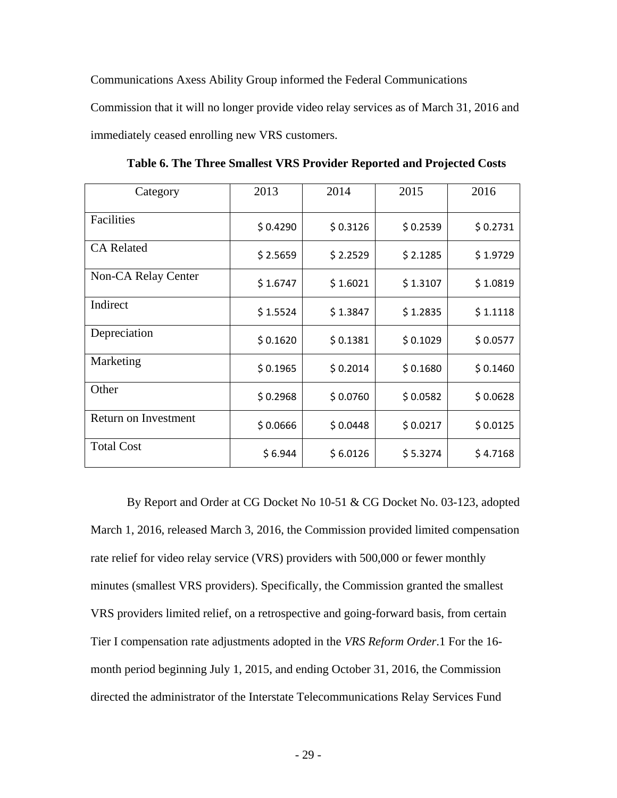Communications Axess Ability Group informed the Federal Communications

Commission that it will no longer provide video relay services as of March 31, 2016 and immediately ceased enrolling new VRS customers.

| Category             | 2013     | 2014     | 2015     | 2016     |
|----------------------|----------|----------|----------|----------|
| Facilities           | \$0.4290 | \$0.3126 | \$0.2539 | \$0.2731 |
| <b>CA Related</b>    | \$2.5659 | \$2.2529 | \$2.1285 | \$1.9729 |
| Non-CA Relay Center  | \$1.6747 | \$1.6021 | \$1.3107 | \$1.0819 |
| Indirect             | \$1.5524 | \$1.3847 | \$1.2835 | \$1.1118 |
| Depreciation         | \$0.1620 | \$0.1381 | \$0.1029 | \$0.0577 |
| Marketing            | \$0.1965 | \$0.2014 | \$0.1680 | \$0.1460 |
| Other                | \$0.2968 | \$0.0760 | \$0.0582 | \$0.0628 |
| Return on Investment | \$0.0666 | \$0.0448 | \$0.0217 | \$0.0125 |
| <b>Total Cost</b>    | \$6.944  | \$6.0126 | \$5.3274 | \$4.7168 |

**Table 6. The Three Smallest VRS Provider Reported and Projected Costs** 

By Report and Order at CG Docket No 10-51 & CG Docket No. 03-123, adopted March 1, 2016, released March 3, 2016, the Commission provided limited compensation rate relief for video relay service (VRS) providers with 500,000 or fewer monthly minutes (smallest VRS providers). Specifically, the Commission granted the smallest VRS providers limited relief, on a retrospective and going-forward basis, from certain Tier I compensation rate adjustments adopted in the *VRS Reform Order*.1 For the 16 month period beginning July 1, 2015, and ending October 31, 2016, the Commission directed the administrator of the Interstate Telecommunications Relay Services Fund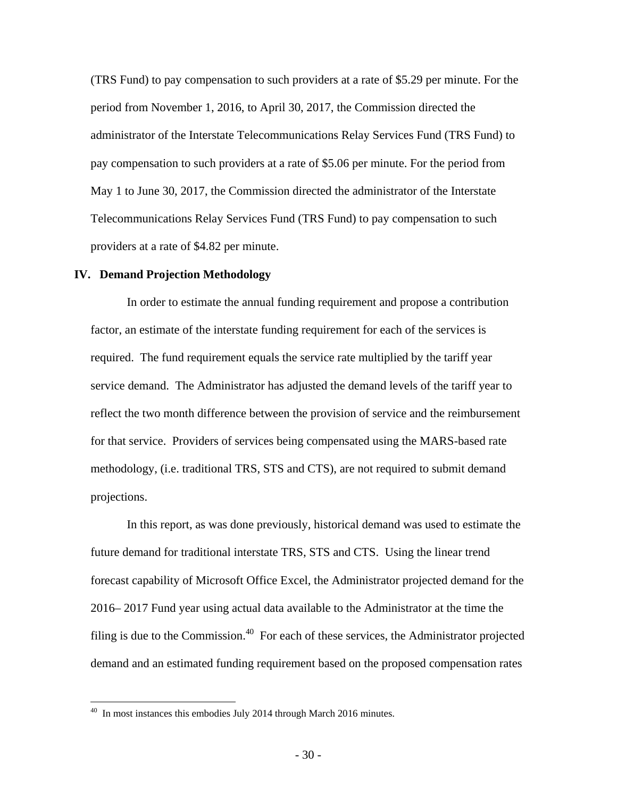(TRS Fund) to pay compensation to such providers at a rate of \$5.29 per minute. For the period from November 1, 2016, to April 30, 2017, the Commission directed the administrator of the Interstate Telecommunications Relay Services Fund (TRS Fund) to pay compensation to such providers at a rate of \$5.06 per minute. For the period from May 1 to June 30, 2017, the Commission directed the administrator of the Interstate Telecommunications Relay Services Fund (TRS Fund) to pay compensation to such providers at a rate of \$4.82 per minute.

#### **IV. Demand Projection Methodology**

In order to estimate the annual funding requirement and propose a contribution factor, an estimate of the interstate funding requirement for each of the services is required. The fund requirement equals the service rate multiplied by the tariff year service demand. The Administrator has adjusted the demand levels of the tariff year to reflect the two month difference between the provision of service and the reimbursement for that service. Providers of services being compensated using the MARS-based rate methodology, (i.e. traditional TRS, STS and CTS), are not required to submit demand projections.

In this report, as was done previously, historical demand was used to estimate the future demand for traditional interstate TRS, STS and CTS. Using the linear trend forecast capability of Microsoft Office Excel, the Administrator projected demand for the 2016– 2017 Fund year using actual data available to the Administrator at the time the filing is due to the Commission.<sup>40</sup> For each of these services, the Administrator projected demand and an estimated funding requirement based on the proposed compensation rates

 $40$  In most instances this embodies July 2014 through March 2016 minutes.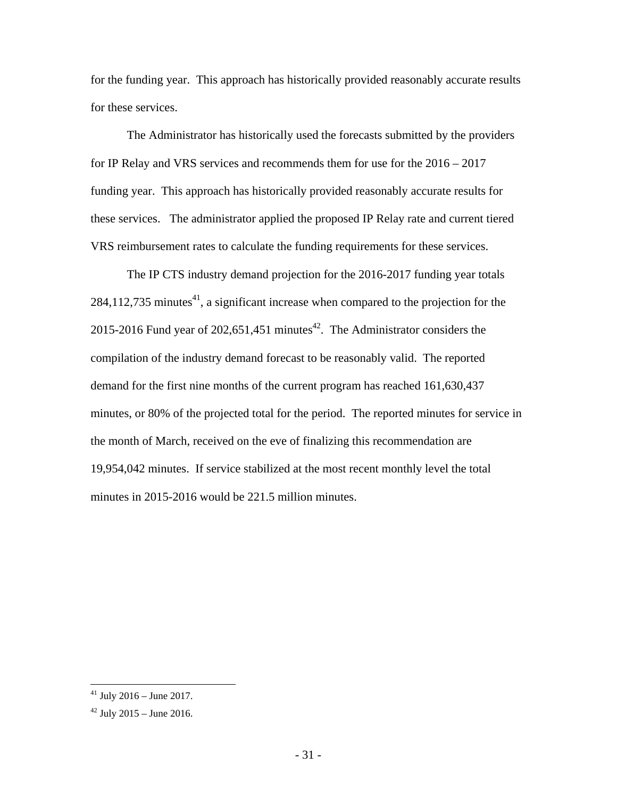for the funding year. This approach has historically provided reasonably accurate results for these services.

The Administrator has historically used the forecasts submitted by the providers for IP Relay and VRS services and recommends them for use for the 2016 – 2017 funding year. This approach has historically provided reasonably accurate results for these services. The administrator applied the proposed IP Relay rate and current tiered VRS reimbursement rates to calculate the funding requirements for these services.

The IP CTS industry demand projection for the 2016-2017 funding year totals  $284,112,735$  minutes<sup>41</sup>, a significant increase when compared to the projection for the 2015-2016 Fund year of 202,651,451 minutes $42$ . The Administrator considers the compilation of the industry demand forecast to be reasonably valid. The reported demand for the first nine months of the current program has reached 161,630,437 minutes, or 80% of the projected total for the period. The reported minutes for service in the month of March, received on the eve of finalizing this recommendation are 19,954,042 minutes. If service stabilized at the most recent monthly level the total minutes in 2015-2016 would be 221.5 million minutes.

 $41$  July 2016 – June 2017.

 $42$  July 2015 – June 2016.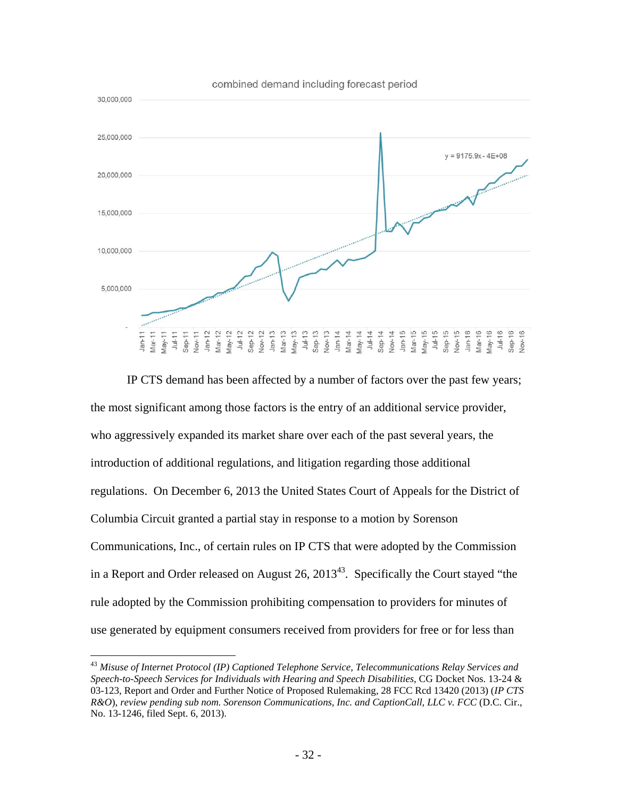

IP CTS demand has been affected by a number of factors over the past few years; the most significant among those factors is the entry of an additional service provider, who aggressively expanded its market share over each of the past several years, the introduction of additional regulations, and litigation regarding those additional regulations. On December 6, 2013 the United States Court of Appeals for the District of Columbia Circuit granted a partial stay in response to a motion by Sorenson Communications, Inc., of certain rules on IP CTS that were adopted by the Commission in a Report and Order released on August 26,  $2013^{43}$ . Specifically the Court stayed "the rule adopted by the Commission prohibiting compensation to providers for minutes of use generated by equipment consumers received from providers for free or for less than

<sup>43</sup> *Misuse of Internet Protocol (IP) Captioned Telephone Service, Telecommunications Relay Services and Speech-to-Speech Services for Individuals with Hearing and Speech Disabilities*, CG Docket Nos. 13-24 & 03-123, Report and Order and Further Notice of Proposed Rulemaking, 28 FCC Rcd 13420 (2013) (*IP CTS R&O*), *review pending sub nom. Sorenson Communications, Inc. and CaptionCall, LLC v. FCC* (D.C. Cir., No. 13-1246, filed Sept. 6, 2013).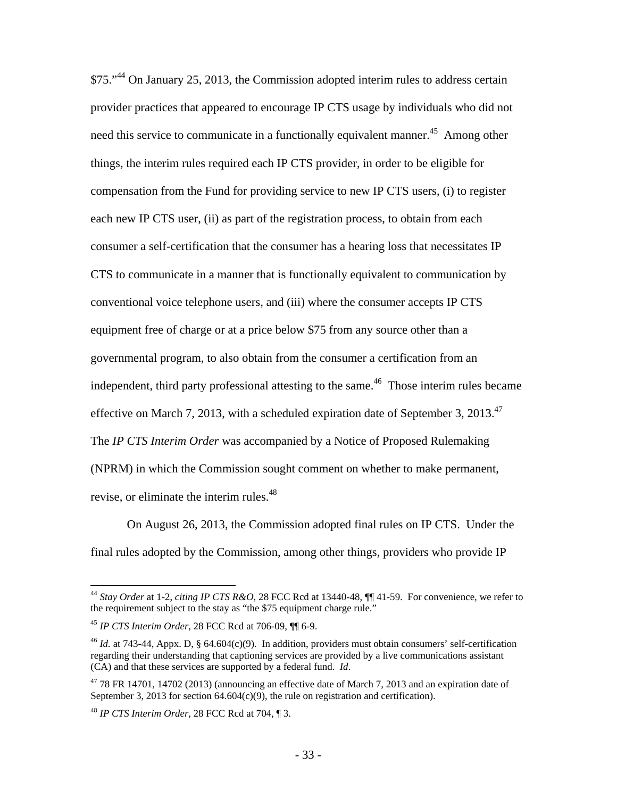\$75."44 On January 25, 2013, the Commission adopted interim rules to address certain provider practices that appeared to encourage IP CTS usage by individuals who did not need this service to communicate in a functionally equivalent manner.<sup>45</sup> Among other things, the interim rules required each IP CTS provider, in order to be eligible for compensation from the Fund for providing service to new IP CTS users, (i) to register each new IP CTS user, (ii) as part of the registration process, to obtain from each consumer a self-certification that the consumer has a hearing loss that necessitates IP CTS to communicate in a manner that is functionally equivalent to communication by conventional voice telephone users, and (iii) where the consumer accepts IP CTS equipment free of charge or at a price below \$75 from any source other than a governmental program, to also obtain from the consumer a certification from an independent, third party professional attesting to the same.<sup>46</sup> Those interim rules became effective on March 7, 2013, with a scheduled expiration date of September 3, 2013.<sup>47</sup> The *IP CTS Interim Order* was accompanied by a Notice of Proposed Rulemaking (NPRM) in which the Commission sought comment on whether to make permanent, revise, or eliminate the interim rules.<sup>48</sup>

On August 26, 2013, the Commission adopted final rules on IP CTS. Under the final rules adopted by the Commission, among other things, providers who provide IP

<sup>44</sup> *Stay Order* at 1-2, *citing IP CTS R&O,* 28 FCC Rcd at 13440-48, ¶¶ 41-59. For convenience, we refer to the requirement subject to the stay as "the \$75 equipment charge rule."

<sup>45</sup> *IP CTS Interim Order*, 28 FCC Rcd at 706-09, ¶¶ 6-9.

<sup>46</sup> *Id.* at 743-44, Appx. D, § 64.604(c)(9). In addition, providers must obtain consumers' self-certification regarding their understanding that captioning services are provided by a live communications assistant (CA) and that these services are supported by a federal fund. *Id*.

 $47$  78 FR 14701, 14702 (2013) (announcing an effective date of March 7, 2013 and an expiration date of September 3, 2013 for section  $64.604(c)(9)$ , the rule on registration and certification).

<sup>48</sup> *IP CTS Interim Order*, 28 FCC Rcd at 704, ¶ 3.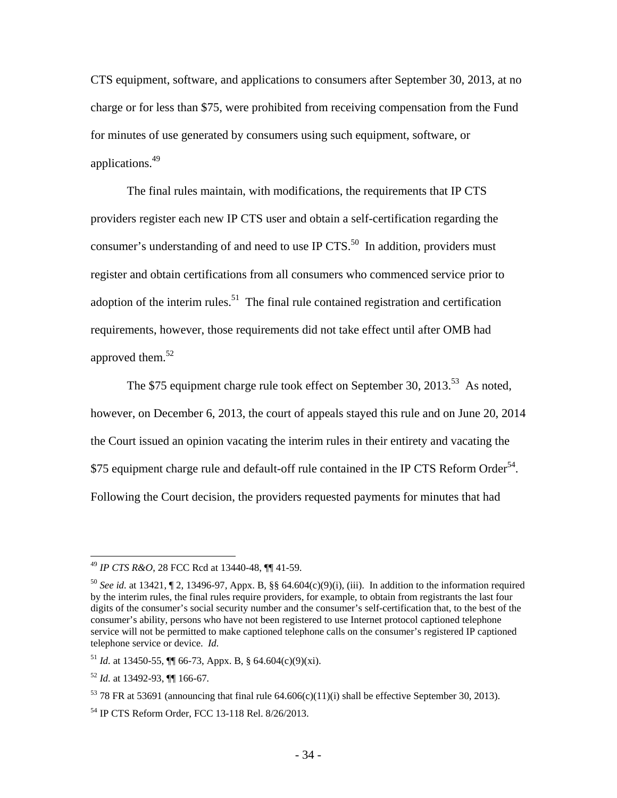CTS equipment, software, and applications to consumers after September 30, 2013, at no charge or for less than \$75, were prohibited from receiving compensation from the Fund for minutes of use generated by consumers using such equipment, software, or applications.<sup>49</sup>

The final rules maintain, with modifications, the requirements that IP CTS providers register each new IP CTS user and obtain a self-certification regarding the consumer's understanding of and need to use IP  $CTS$ <sup>50</sup>. In addition, providers must register and obtain certifications from all consumers who commenced service prior to adoption of the interim rules.<sup>51</sup> The final rule contained registration and certification requirements, however, those requirements did not take effect until after OMB had approved them.<sup>52</sup>

The \$75 equipment charge rule took effect on September 30, 2013.<sup>53</sup> As noted, however, on December 6, 2013, the court of appeals stayed this rule and on June 20, 2014 the Court issued an opinion vacating the interim rules in their entirety and vacating the \$75 equipment charge rule and default-off rule contained in the IP CTS Reform Order<sup>54</sup>. Following the Court decision, the providers requested payments for minutes that had

<sup>49</sup> *IP CTS R&O*, 28 FCC Rcd at 13440-48, ¶¶ 41-59.

<sup>&</sup>lt;sup>50</sup> *See id.* at 13421,  $\P$  2, 13496-97, Appx. B, §§ 64.604(c)(9)(i), (iii). In addition to the information required by the interim rules, the final rules require providers, for example, to obtain from registrants the last four digits of the consumer's social security number and the consumer's self-certification that, to the best of the consumer's ability, persons who have not been registered to use Internet protocol captioned telephone service will not be permitted to make captioned telephone calls on the consumer's registered IP captioned telephone service or device. *Id.*

<sup>&</sup>lt;sup>51</sup> *Id.* at 13450-55,  $\P\P$  66-73, Appx. B, § 64.604(c)(9)(xi).

<sup>52</sup> *Id.* at 13492-93, ¶¶ 166-67*.*

<sup>&</sup>lt;sup>53</sup> 78 FR at 53691 (announcing that final rule  $64.606(c)(11)(i)$  shall be effective September 30, 2013).

<sup>54</sup> IP CTS Reform Order, FCC 13-118 Rel. 8/26/2013.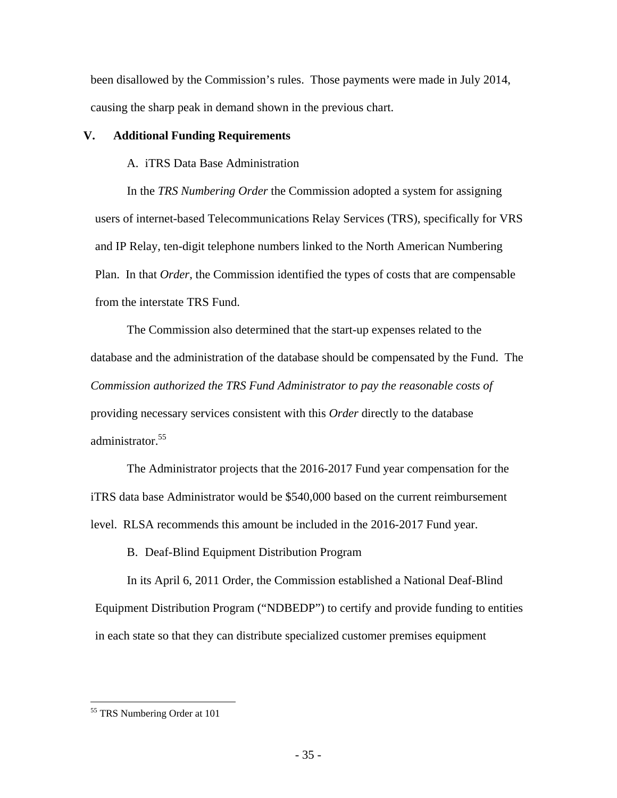been disallowed by the Commission's rules. Those payments were made in July 2014, causing the sharp peak in demand shown in the previous chart.

## **V. Additional Funding Requirements**

A. iTRS Data Base Administration

In the *TRS Numbering Order* the Commission adopted a system for assigning users of internet-based Telecommunications Relay Services (TRS), specifically for VRS and IP Relay, ten-digit telephone numbers linked to the North American Numbering Plan. In that *Order*, the Commission identified the types of costs that are compensable from the interstate TRS Fund.

The Commission also determined that the start-up expenses related to the database and the administration of the database should be compensated by the Fund. The *Commission authorized the TRS Fund Administrator to pay the reasonable costs of* providing necessary services consistent with this *Order* directly to the database administrator.<sup>55</sup>

The Administrator projects that the 2016-2017 Fund year compensation for the iTRS data base Administrator would be \$540,000 based on the current reimbursement level. RLSA recommends this amount be included in the 2016-2017 Fund year.

B. Deaf-Blind Equipment Distribution Program

In its April 6, 2011 Order, the Commission established a National Deaf-Blind Equipment Distribution Program ("NDBEDP") to certify and provide funding to entities in each state so that they can distribute specialized customer premises equipment

<sup>55</sup> TRS Numbering Order at 101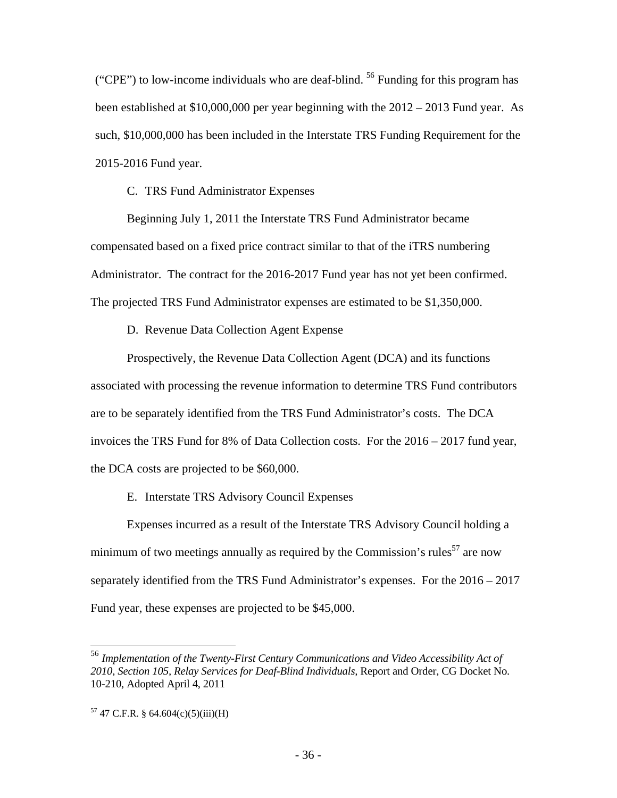("CPE") to low-income individuals who are deaf-blind. 56 Funding for this program has been established at \$10,000,000 per year beginning with the 2012 – 2013 Fund year. As such, \$10,000,000 has been included in the Interstate TRS Funding Requirement for the 2015-2016 Fund year.

C. TRS Fund Administrator Expenses

Beginning July 1, 2011 the Interstate TRS Fund Administrator became compensated based on a fixed price contract similar to that of the iTRS numbering Administrator. The contract for the 2016-2017 Fund year has not yet been confirmed. The projected TRS Fund Administrator expenses are estimated to be \$1,350,000.

D. Revenue Data Collection Agent Expense

Prospectively, the Revenue Data Collection Agent (DCA) and its functions associated with processing the revenue information to determine TRS Fund contributors are to be separately identified from the TRS Fund Administrator's costs. The DCA invoices the TRS Fund for 8% of Data Collection costs. For the 2016 – 2017 fund year, the DCA costs are projected to be \$60,000.

E. Interstate TRS Advisory Council Expenses

Expenses incurred as a result of the Interstate TRS Advisory Council holding a minimum of two meetings annually as required by the Commission's rules<sup>57</sup> are now separately identified from the TRS Fund Administrator's expenses. For the 2016 – 2017 Fund year, these expenses are projected to be \$45,000.

<sup>56</sup> *Implementation of the Twenty-First Century Communications and Video Accessibility Act of 2010, Section 105, Relay Services for Deaf-Blind Individuals,* Report and Order, CG Docket No. 10-210, Adopted April 4, 2011

 $57$  47 C.F.R. § 64.604(c)(5)(iii)(H)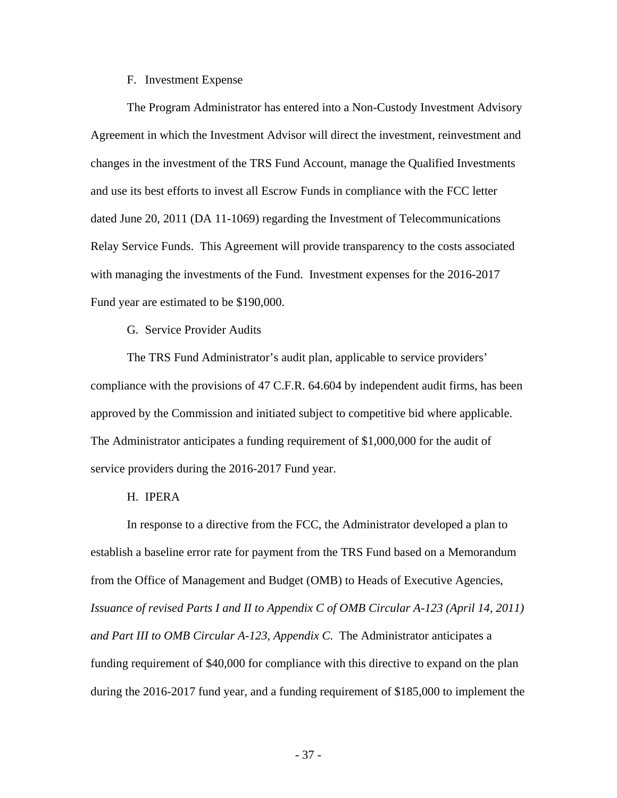#### F. Investment Expense

The Program Administrator has entered into a Non-Custody Investment Advisory Agreement in which the Investment Advisor will direct the investment, reinvestment and changes in the investment of the TRS Fund Account, manage the Qualified Investments and use its best efforts to invest all Escrow Funds in compliance with the FCC letter dated June 20, 2011 (DA 11-1069) regarding the Investment of Telecommunications Relay Service Funds. This Agreement will provide transparency to the costs associated with managing the investments of the Fund. Investment expenses for the 2016-2017 Fund year are estimated to be \$190,000.

G. Service Provider Audits

The TRS Fund Administrator's audit plan, applicable to service providers' compliance with the provisions of 47 C.F.R. 64.604 by independent audit firms, has been approved by the Commission and initiated subject to competitive bid where applicable. The Administrator anticipates a funding requirement of \$1,000,000 for the audit of service providers during the 2016-2017 Fund year.

#### H. IPERA

In response to a directive from the FCC, the Administrator developed a plan to establish a baseline error rate for payment from the TRS Fund based on a Memorandum from the Office of Management and Budget (OMB) to Heads of Executive Agencies, *Issuance of revised Parts I and II to Appendix C of OMB Circular A-123 (April 14, 2011) and Part III to OMB Circular A-123, Appendix C*. The Administrator anticipates a funding requirement of \$40,000 for compliance with this directive to expand on the plan during the 2016-2017 fund year, and a funding requirement of \$185,000 to implement the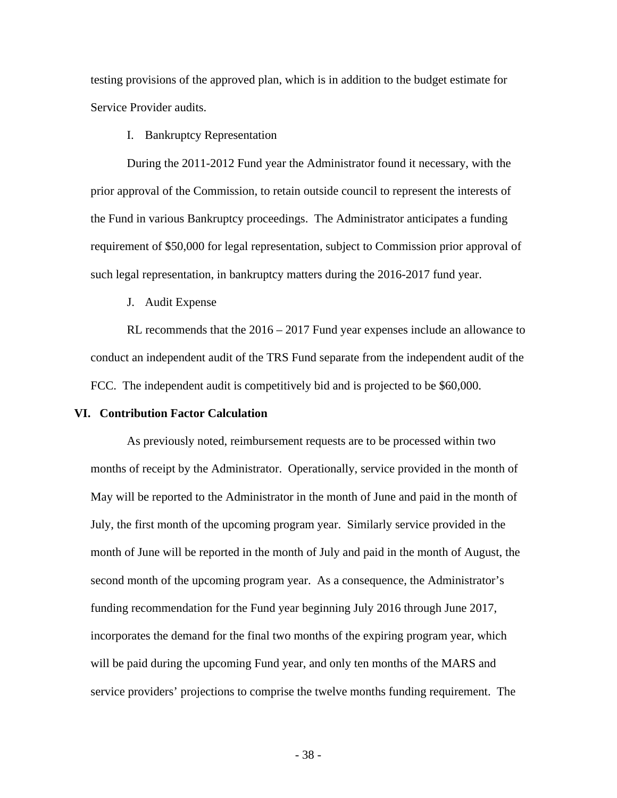testing provisions of the approved plan, which is in addition to the budget estimate for Service Provider audits.

I. Bankruptcy Representation

During the 2011-2012 Fund year the Administrator found it necessary, with the prior approval of the Commission, to retain outside council to represent the interests of the Fund in various Bankruptcy proceedings. The Administrator anticipates a funding requirement of \$50,000 for legal representation, subject to Commission prior approval of such legal representation, in bankruptcy matters during the 2016-2017 fund year.

J. Audit Expense

RL recommends that the 2016 – 2017 Fund year expenses include an allowance to conduct an independent audit of the TRS Fund separate from the independent audit of the FCC. The independent audit is competitively bid and is projected to be \$60,000.

#### **VI. Contribution Factor Calculation**

As previously noted, reimbursement requests are to be processed within two months of receipt by the Administrator. Operationally, service provided in the month of May will be reported to the Administrator in the month of June and paid in the month of July, the first month of the upcoming program year. Similarly service provided in the month of June will be reported in the month of July and paid in the month of August, the second month of the upcoming program year. As a consequence, the Administrator's funding recommendation for the Fund year beginning July 2016 through June 2017, incorporates the demand for the final two months of the expiring program year, which will be paid during the upcoming Fund year, and only ten months of the MARS and service providers' projections to comprise the twelve months funding requirement. The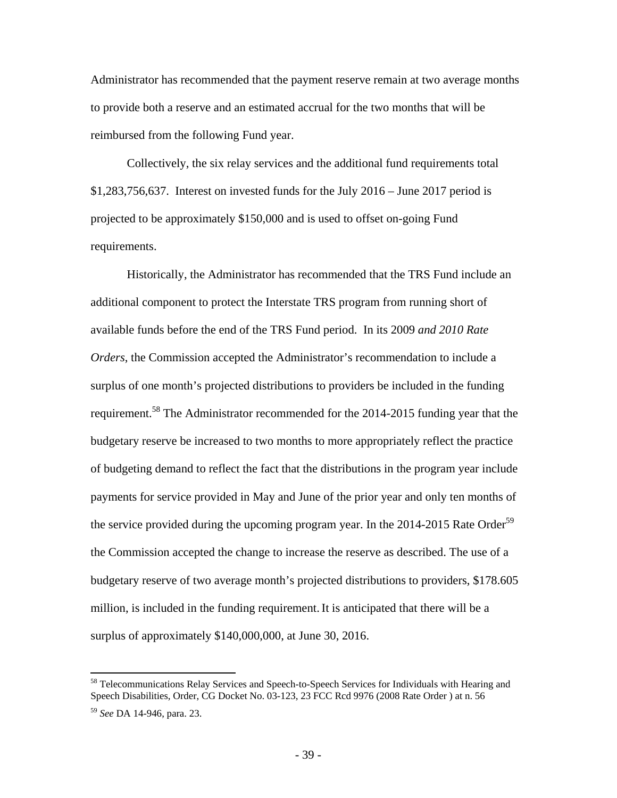Administrator has recommended that the payment reserve remain at two average months to provide both a reserve and an estimated accrual for the two months that will be reimbursed from the following Fund year.

Collectively, the six relay services and the additional fund requirements total \$1,283,756,637. Interest on invested funds for the July 2016 – June 2017 period is projected to be approximately \$150,000 and is used to offset on-going Fund requirements.

Historically, the Administrator has recommended that the TRS Fund include an additional component to protect the Interstate TRS program from running short of available funds before the end of the TRS Fund period. In its 2009 *and 2010 Rate Orders*, the Commission accepted the Administrator's recommendation to include a surplus of one month's projected distributions to providers be included in the funding requirement.58 The Administrator recommended for the 2014-2015 funding year that the budgetary reserve be increased to two months to more appropriately reflect the practice of budgeting demand to reflect the fact that the distributions in the program year include payments for service provided in May and June of the prior year and only ten months of the service provided during the upcoming program year. In the  $2014$ - $2015$  Rate Order<sup>59</sup> the Commission accepted the change to increase the reserve as described. The use of a budgetary reserve of two average month's projected distributions to providers, \$178.605 million, is included in the funding requirement. It is anticipated that there will be a surplus of approximately \$140,000,000, at June 30, 2016.

<sup>&</sup>lt;sup>58</sup> Telecommunications Relay Services and Speech-to-Speech Services for Individuals with Hearing and Speech Disabilities, Order, CG Docket No. 03-123, 23 FCC Rcd 9976 (2008 Rate Order ) at n. 56

<sup>59</sup> *See* DA 14-946, para. 23.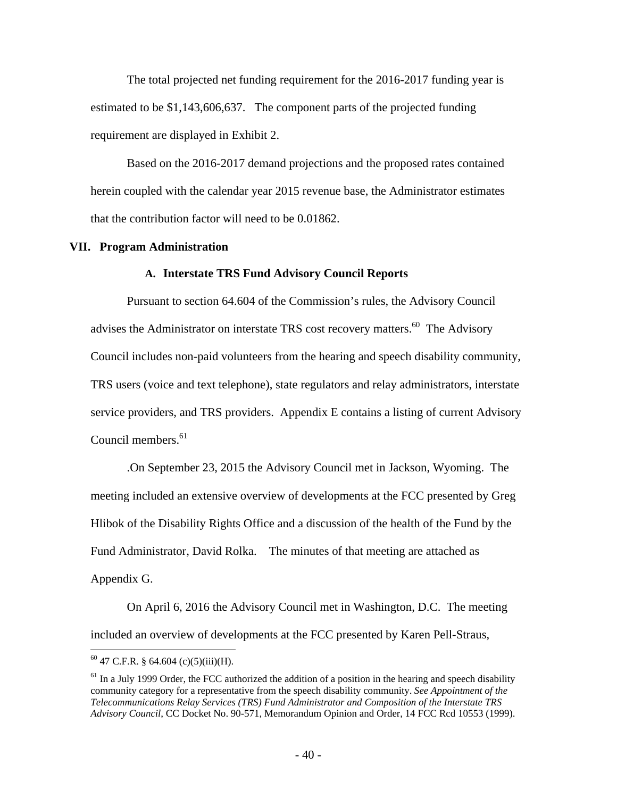The total projected net funding requirement for the 2016-2017 funding year is estimated to be \$1,143,606,637. The component parts of the projected funding requirement are displayed in Exhibit 2.

Based on the 2016-2017 demand projections and the proposed rates contained herein coupled with the calendar year 2015 revenue base, the Administrator estimates that the contribution factor will need to be 0.01862.

#### **VII. Program Administration**

#### **A. Interstate TRS Fund Advisory Council Reports**

Pursuant to section 64.604 of the Commission's rules, the Advisory Council advises the Administrator on interstate TRS cost recovery matters.<sup>60</sup> The Advisory Council includes non-paid volunteers from the hearing and speech disability community, TRS users (voice and text telephone), state regulators and relay administrators, interstate service providers, and TRS providers. Appendix E contains a listing of current Advisory Council members.<sup>61</sup>

.On September 23, 2015 the Advisory Council met in Jackson, Wyoming. The meeting included an extensive overview of developments at the FCC presented by Greg Hlibok of the Disability Rights Office and a discussion of the health of the Fund by the Fund Administrator, David Rolka. The minutes of that meeting are attached as Appendix G.

On April 6, 2016 the Advisory Council met in Washington, D.C. The meeting included an overview of developments at the FCC presented by Karen Pell-Straus,

 $^{60}$  47 C.F.R. § 64.604 (c)(5)(iii)(H).

 $61$  In a July 1999 Order, the FCC authorized the addition of a position in the hearing and speech disability community category for a representative from the speech disability community. *See Appointment of the Telecommunications Relay Services (TRS) Fund Administrator and Composition of the Interstate TRS Advisory Council*, CC Docket No. 90-571, Memorandum Opinion and Order, 14 FCC Rcd 10553 (1999).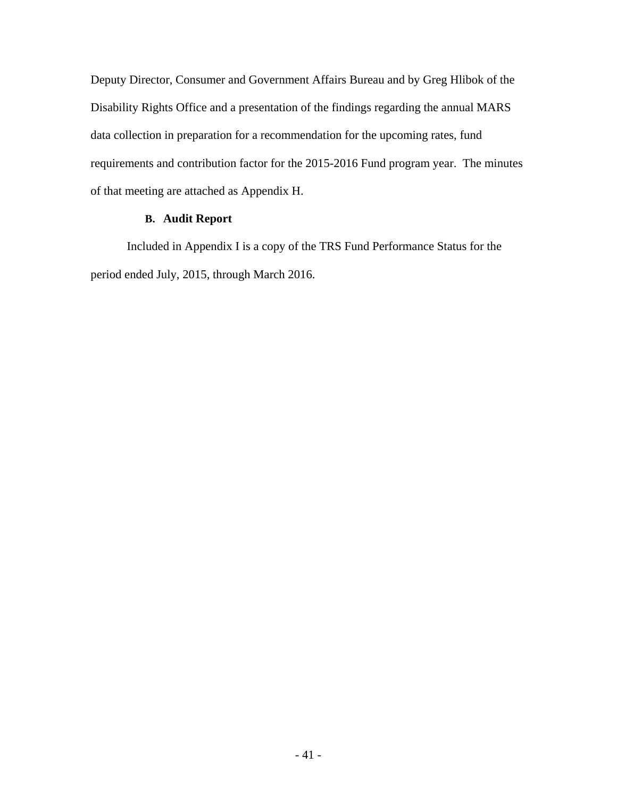Deputy Director, Consumer and Government Affairs Bureau and by Greg Hlibok of the Disability Rights Office and a presentation of the findings regarding the annual MARS data collection in preparation for a recommendation for the upcoming rates, fund requirements and contribution factor for the 2015-2016 Fund program year. The minutes of that meeting are attached as Appendix H.

## **B. Audit Report**

Included in Appendix I is a copy of the TRS Fund Performance Status for the period ended July, 2015, through March 2016.